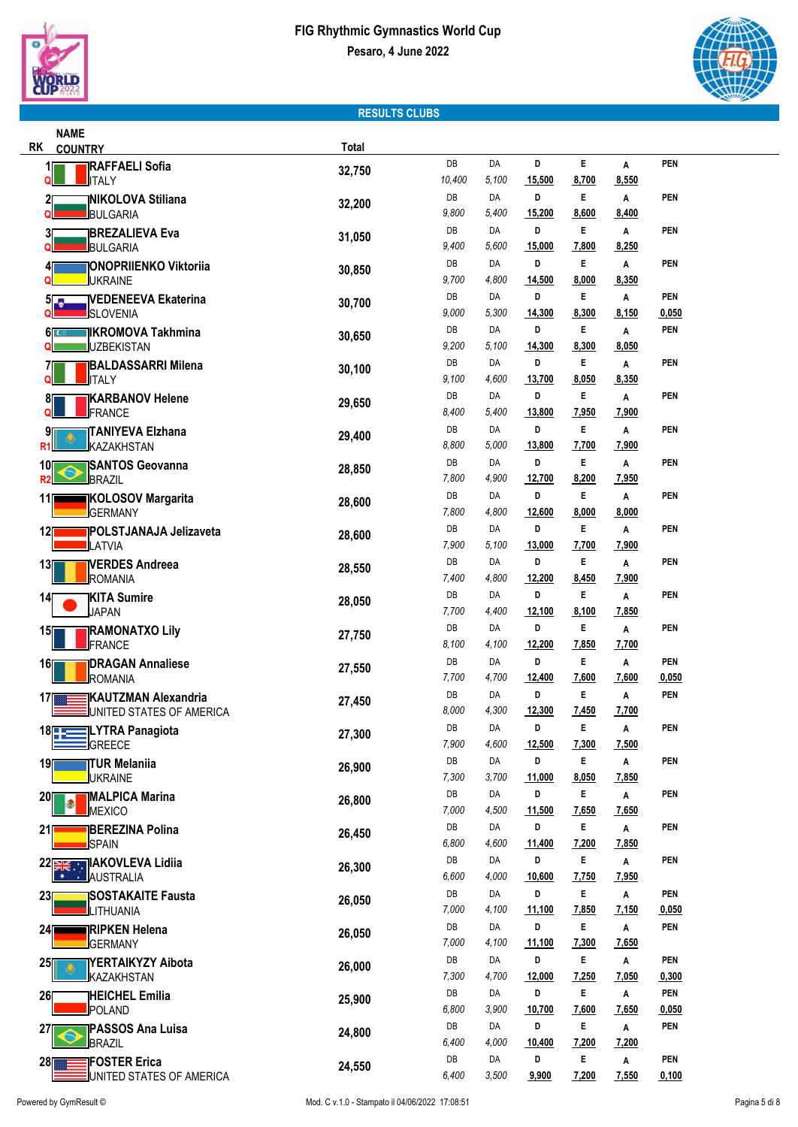



### **RESULTS CLUBS**

| <b>NAME</b>                         |                                                 |        |             |             |             |            |              |              |
|-------------------------------------|-------------------------------------------------|--------|-------------|-------------|-------------|------------|--------------|--------------|
| <b>RK</b><br><b>COUNTRY</b>         |                                                 | Total  |             |             |             |            |              |              |
| 1                                   | <b>RAFFAELI Sofia</b>                           | 32,750 | DB          | DA          | D           | E.         | Α            | <b>PEN</b>   |
| <b>JITALY</b><br>۵                  |                                                 |        | 10,400      | 5,100       | 15,500      | 8,700      | 8,550        |              |
| 2                                   | <b>NIKOLOVA Stiliana</b>                        | 32,200 | DB          | DA          | D           | E.         | Α            | <b>PEN</b>   |
| BULGARIA                            |                                                 |        | 9,800       | 5,400       | 15,200      | 8,600      | 8,400        |              |
| 3                                   | <b>BREZALIEVA Eva</b>                           | 31,050 | DB          | DA          | D           | E          | Α            | PEN          |
| BULGARIA                            |                                                 |        | 9,400       | 5,600       | 15,000<br>D | 7,800      | 8,250        |              |
| 4<br><b>JUKRAINE</b>                | <b>JONOPRIIENKO Viktoriia</b>                   | 30,850 | DB<br>9,700 | DA<br>4,800 | 14,500      | E<br>8,000 | Α<br>8,350   | <b>PEN</b>   |
|                                     |                                                 |        | DB          | DA          | D           | Е          | Α            | <b>PEN</b>   |
| 51<br><b>SLOVENIA</b>               | <b>VEDENEEVA Ekaterina</b>                      | 30,700 | 9,000       | 5,300       | 14,300      | 8,300      | 8,150        | 0,050        |
|                                     |                                                 |        | DB          | DA          | D           | E          | Α            | <b>PEN</b>   |
| 6l c<br><b>JUZBEKISTAN</b><br>ω     | <b>IIKROMOVA Takhmina</b>                       | 30,650 | 9,200       | 5,100       | 14,300      | 8,300      | 8,050        |              |
|                                     | ∏BALDASSARRI Milena                             |        | DB          | DA          | D           | Е          | Α            | <b>PEN</b>   |
| <b>JITALY</b>                       |                                                 | 30,100 | 9,100       | 4,600       | 13,700      | 8,050      | 8,350        |              |
| 81                                  | <b>KARBANOV Helene</b>                          |        | DB          | DA          | D           | E          | Α            | <b>PEN</b>   |
| FRANCE                              |                                                 | 29,650 | 8,400       | 5,400       | 13,800      | 7,950      | 7,900        |              |
| 91                                  | TANIYEVA Elzhana                                |        | DB          | DA          | D           | E.         | Α            | <b>PEN</b>   |
| KAZAKHSTAN<br>R1                    |                                                 | 29,400 | 8,800       | 5,000       | 13,800      | 7,700      | 7,900        |              |
| 10∏                                 | <b>SANTOS Geovanna</b>                          | 28,850 | DB          | DA          | D           | E          | Α            | <b>PEN</b>   |
| BRAZIL<br>R2                        |                                                 |        | 7,800       | 4,900       | 12,700      | 8,200      | 7,950        |              |
| 11                                  | <b>IKOLOSOV Margarita</b>                       | 28,600 | DB          | DA          | D           | E          | Α            | <b>PEN</b>   |
| <b>GERMANY</b>                      |                                                 |        | 7,800       | 4,800       | 12,600      | 8,000      | 8,000        |              |
| 12                                  | <b>POLSTJANAJA Jelizaveta</b>                   | 28,600 | DB          | DA          | D           | Е          | Α            | <b>PEN</b>   |
| <b>LATVIA</b>                       |                                                 |        | 7,900       | 5,100       | 13,000      | 7,700      | 7,900        |              |
| 13                                  | <b>IVERDES Andreea</b>                          | 28,550 | DB          | DA          | D           | E          | Α            | PEN          |
| ROMANIA                             |                                                 |        | 7,400       | 4,800       | 12,200      | 8,450      | 7,900        |              |
| <b>KITA Sumire</b><br>14            |                                                 | 28,050 | DB          | DA          | D           | Е          | Α            | PEN          |
| <b>JAPAN</b>                        |                                                 |        | 7,700       | 4,400       | 12,100      | 8,100      | 7,850        |              |
| 15∏                                 | <b>RAMONATXO Lily</b>                           | 27,750 | DB          | DA          | D           | Е          | Α            | PEN          |
| FRANCE                              |                                                 |        | 8,100       | 4,100       | 12,200      | 7,850      | 7,700        |              |
| 16<br><b>ROMANIA</b>                | <b>DRAGAN Annaliese</b>                         | 27,550 | DB<br>7,700 | DA<br>4,700 | D<br>12,400 | E<br>7,600 | Α<br>7,600   | PEN<br>0,050 |
|                                     |                                                 |        | DB          | DA          | D           | E          | Α            | <b>PEN</b>   |
| 17                                  | KAUTZMAN Alexandria<br>UNITED STATES OF AMERICA | 27,450 | 8,000       | 4,300       | 12,300      | 7,450      | 7,700        |              |
|                                     | <b>LYTRA Panagiota</b>                          |        | DB          | DA          | D           | E          | Α            | PEN          |
| $18$ $\sqrt{25}$<br>GREECE          |                                                 | 27,300 | 7,900       | 4,600       | 12,500      | 7,300      | 7,500        |              |
| <b>TUR Melaniia</b><br>19           |                                                 |        | DB          | DA          | D           | E          | Α            | <b>PEN</b>   |
| <b>JUKRAINE</b>                     |                                                 | 26,900 | 7,300       | 3,700       | 11,000      | 8,050      | 7,850        |              |
| 20                                  | <b>MALPICA Marina</b>                           |        | DB          | DA          | D           | E          | Α            | PEN          |
| MEXICO                              |                                                 | 26,800 | 7,000       | 4,500       | 11,500      | 7,650      | 7,650        |              |
| 21                                  | <b>BEREZINA Polina</b>                          | 26,450 | DB          | DA          | D           | Е          | Α            | PEN          |
| <b>SPAIN</b>                        |                                                 |        | 6,800       | 4,600       | 11,400      | 7,200      | 7,850        |              |
| 22 22 22 23 AM AKOVLEVA Lidija      |                                                 | 26,300 | DB          | DA          | D           | E          | Α            | PEN          |
| <b>JAUSTRALIA</b><br>₩<br>$\bullet$ |                                                 |        | 6,600       | 4,000       | 10,600      | 7,750      | 7,950        |              |
| 23                                  | <b>ISOSTAKAITE Fausta</b>                       | 26,050 | DB          | DA          | D           | E          | $\, {\bf A}$ | <b>PEN</b>   |
| <b>LITHUANIA</b>                    |                                                 |        | 7,000       | 4,100       | 11,100      | 7,850      | 7,150        | 0,050        |
| 24                                  | <b>RIPKEN Helena</b>                            | 26,050 | DB          | DA          | D           | E          | Α            | <b>PEN</b>   |
| <b>GERMANY</b>                      |                                                 |        | 7,000       | 4,100       | 11,100      | 7,300      | 7,650        |              |
| 25                                  | YERTAIKYZY Aibota                               | 26,000 | DB          | DA          | D           | E          | $\, {\bf A}$ | <b>PEN</b>   |
| <b>KAZAKHSTAN</b>                   |                                                 |        | 7,300       | 4,700       | 12,000      | 7,250      | 7,050        | 0,300        |
| 26                                  | <b>HEICHEL Emilia</b>                           | 25,900 | DB          | DA          | D           | E          | Α            | <b>PEN</b>   |
| POLAND                              |                                                 |        | 6,800       | 3,900       | 10,700      | 7,600      | 7,650        | 0,050        |
| 27<br>BRAZIL                        | <b>PASSOS Ana Luisa</b>                         | 24,800 | DB<br>6,400 | DA<br>4,000 | D<br>10,400 | E<br>7,200 | Α<br>7,200   | <b>PEN</b>   |
|                                     |                                                 |        | DB          | DA          | D           | E          | Α            | <b>PEN</b>   |
| 28                                  | <b>FOSTER Erica</b><br>UNITED STATES OF AMERICA | 24,550 | 6,400       | 3,500       | 9,900       | 7,200      | 7,550        | 0,100        |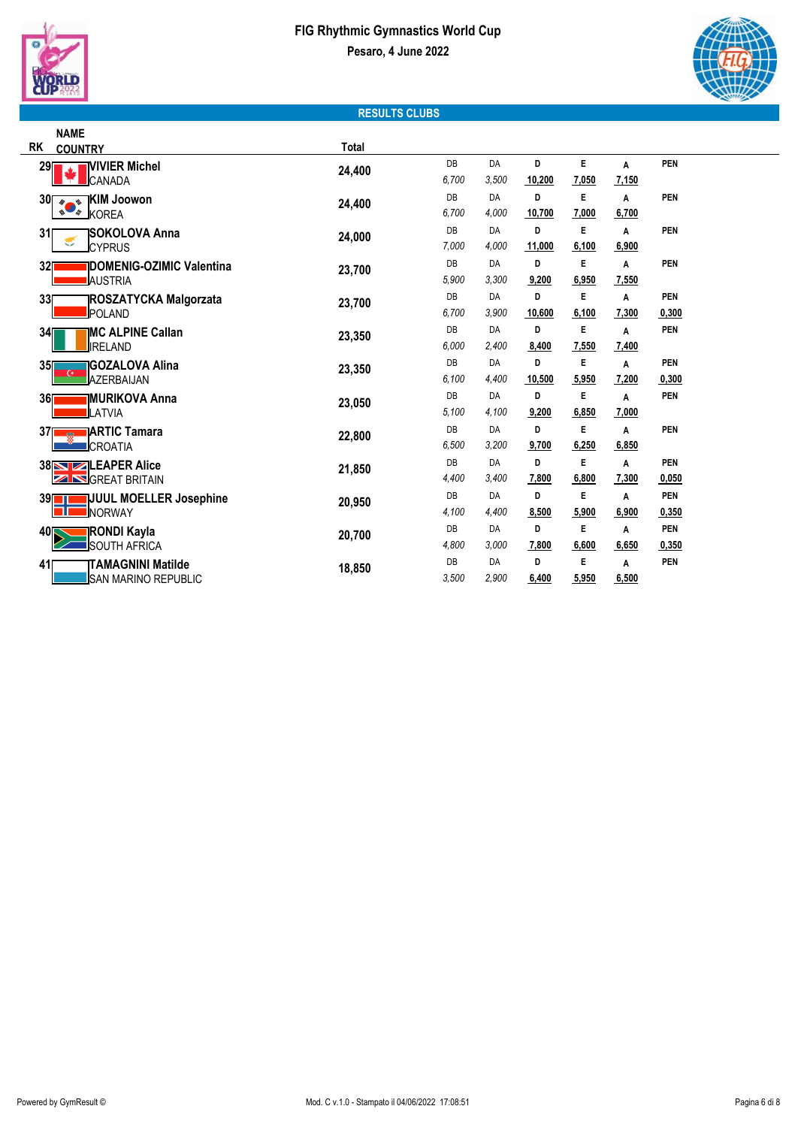



### **RESULTS CLUBS**

|                   | <b>NAME</b>                                 |        |       |       |        |       |       |            |
|-------------------|---------------------------------------------|--------|-------|-------|--------|-------|-------|------------|
| <b>RK</b>         | <b>COUNTRY</b>                              | Total  |       |       |        |       |       |            |
| 29                | <b>NIVIER Michel</b>                        | 24,400 | DB    | DA    | D      | E     | А     | <b>PEN</b> |
|                   | CANADA                                      |        | 6,700 | 3,500 | 10,200 | 7,050 | 7,150 |            |
| <b>30</b>         | <b>IKIM Joowon</b><br>$\theta$<br>$\bullet$ | 24,400 | DB    | DA    | D      | E     | A     | <b>PEN</b> |
|                   | $\bullet$<br>ø.<br><b>KOREA</b>             |        | 6,700 | 4,000 | 10,700 | 7,000 | 6,700 |            |
| 31                | <b>ISOKOLOVA Anna</b>                       | 24,000 | DB    | DA    | D      | Е     | Α     | <b>PEN</b> |
|                   | €<br><b>CYPRUS</b>                          |        | 7,000 | 4,000 | 11,000 | 6,100 | 6,900 |            |
| 32                | <b>IDOMENIG-OZIMIC Valentina</b>            | 23,700 | DB    | DA    | D      | E     | Α     | <b>PEN</b> |
|                   | IAUSTRIA                                    |        | 5,900 | 3,300 | 9,200  | 6,950 | 7,550 |            |
| 33                | <b>ROSZATYCKA Malgorzata</b>                | 23,700 | DB    | DA    | D      | E     | A     | <b>PEN</b> |
|                   | <b>POLAND</b>                               |        | 6,700 | 3,900 | 10,600 | 6,100 | 7,300 | 0,300      |
| 34                | <b>MC ALPINE Callan</b>                     | 23,350 | DB    | DA    | D      | E     | A     | <b>PEN</b> |
|                   | IRELAND                                     |        | 6,000 | 2,400 | 8,400  | 7,550 | 7,400 |            |
| 35                | <b>IGOZALOVA Alina</b>                      | 23,350 | DB    | DA    | D      | E     | Α     | <b>PEN</b> |
|                   | G.<br>AZERBAIJAN                            |        | 6,100 | 4,400 | 10,500 | 5,950 | 7,200 | 0,300      |
| 36[               | <b>IMURIKOVA Anna</b>                       | 23,050 | DB    | DA    | D      | E     | A     | <b>PEN</b> |
|                   | LATVIA                                      |        | 5.100 | 4.100 | 9,200  | 6,850 | 7,000 |            |
| 371               | <b>JARTIC Tamara</b>                        | 22,800 | DB    | DA    | D      | E     | Α     | <b>PEN</b> |
|                   | CROATIA                                     |        | 6,500 | 3,200 | 9,700  | 6,250 | 6,850 |            |
|                   | <b>38 STEAPER Alice</b>                     | 21,850 | DB    | DA    | D      | E     | A     | <b>PEN</b> |
|                   | <b>ZINGREAT BRITAIN</b>                     |        | 4,400 | 3,400 | 7,800  | 6,800 | 7,300 | 0,050      |
| 39 <mark>1</mark> | JUUL MOELLER Josephine                      | 20,950 | DB    | DA    | D      | E     | Α     | <b>PEN</b> |
|                   | NORWAY                                      |        | 4,100 | 4,400 | 8,500  | 5,900 | 6,900 | 0,350      |
| 40 <sub>I</sub>   | <b>RONDI Kayla</b>                          | 20,700 | DB    | DA    | D      | E     | Α     | <b>PEN</b> |
|                   | <b>SOUTH AFRICA</b>                         |        | 4,800 | 3,000 | 7,800  | 6,600 | 6,650 | 0,350      |
| 41                | <b>TAMAGNINI Matilde</b>                    | 18,850 | DB    | DA    | D      | E     | Α     | PEN        |
|                   | SAN MARINO REPUBLIC                         |        | 3,500 | 2,900 | 6,400  | 5,950 | 6,500 |            |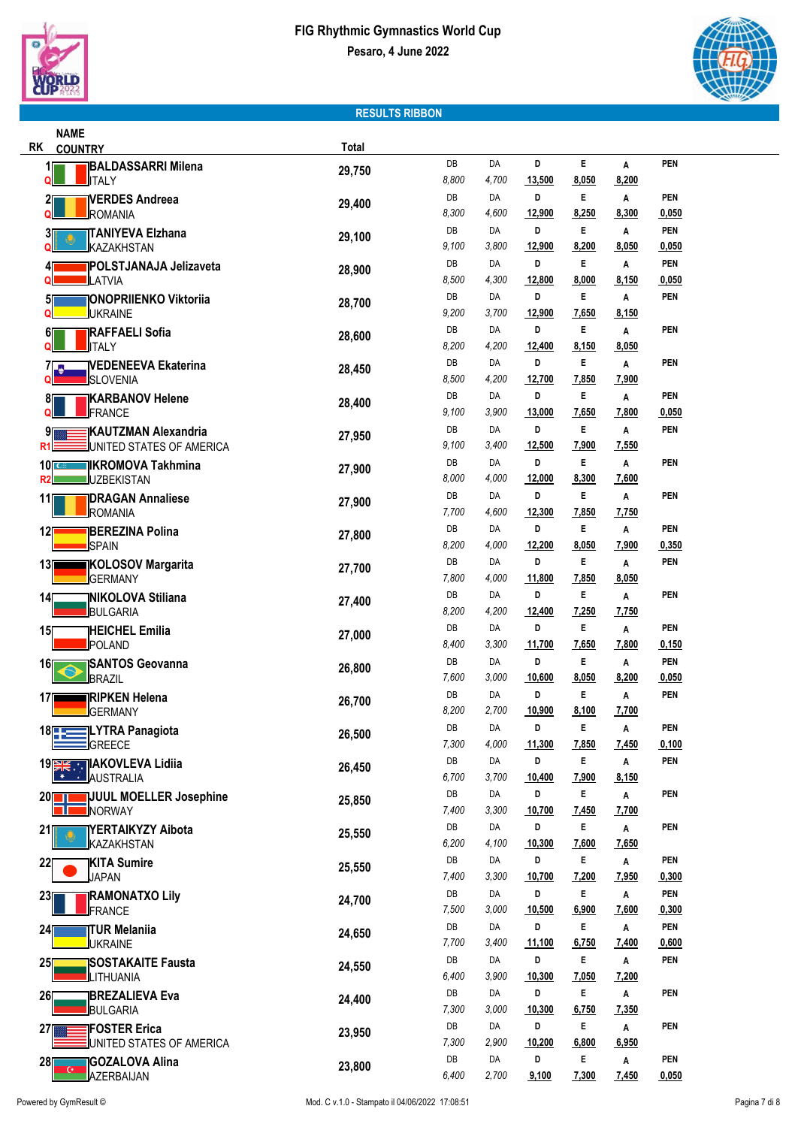

**NAME**



## **RESULTS RIBBON**

| RK<br><b>COUNTRY</b>                                          | Total  |             |             |             |            |              |                     |  |
|---------------------------------------------------------------|--------|-------------|-------------|-------------|------------|--------------|---------------------|--|
| <b>BALDASSARRI Milena</b><br><b>ITALY</b><br>O                | 29,750 | DB<br>8,800 | DA<br>4,700 | D<br>13,500 | E<br>8,050 | Α<br>8,200   | <b>PEN</b>          |  |
| <b>IVERDES Andreea</b><br>2[<br>ROMANIA                       | 29,400 | DB<br>8,300 | DA<br>4,600 | D<br>12,900 | E<br>8,250 | Α<br>8,300   | <b>PEN</b><br>0,050 |  |
| <b>TANIYEVA Elzhana</b><br>31                                 |        | DB          | DA          | D           | E          | A            | <b>PEN</b>          |  |
| KAZAKHSTAN                                                    | 29,100 | 9,100       | 3,800       | 12,900      | 8,200      | 8,050        | 0,050               |  |
| POLSTJANAJA Jelizaveta                                        | 28,900 | DB          | DA          | D           | E          | Α            | <b>PEN</b>          |  |
| LATVIA                                                        |        | 8,500       | 4,300       | 12,800      | 8,000      | 8,150        | 0,050               |  |
| <b>ONOPRIIENKO Viktoriia</b><br>51                            | 28,700 | DB          | DA          | D           | E          | Α            | <b>PEN</b>          |  |
| <b>JUKRAINE</b>                                               |        | 9,200       | 3,700       | 12,900      | 7,650      | 8,150        |                     |  |
| <b>RAFFAELI Sofia</b><br>61<br><b>JITALY</b>                  | 28,600 | DB<br>8,200 | DA<br>4,200 | D<br>12,400 | E<br>8,150 | Α<br>8,050   | <b>PEN</b>          |  |
|                                                               |        | DB          | DA          | D           | E          | Α            | <b>PEN</b>          |  |
| <b>VEDENEEVA Ekaterina</b><br>7 <b>. .</b><br><b>SLOVENIA</b> | 28,450 | 8,500       | 4,200       | 12,700      | 7,850      | 7,900        |                     |  |
| <b>KARBANOV Helene</b><br>81                                  |        | DB          | DA          | D           | E          | Α            | <b>PEN</b>          |  |
| <b>FRANCE</b><br>Q                                            | 28,400 | 9,100       | 3,900       | 13,000      | 7,650      | 7,800        | 0,050               |  |
| <b>KAUTZMAN Alexandria</b><br>91                              | 27,950 | DB          | DA          | D           | E          | Α            | <b>PEN</b>          |  |
| UNITED STATES OF AMERICA<br>R1                                |        | 9,100       | 3,400       | 12,500      | 7,900      | 7,550        |                     |  |
| 10 <sub>2</sub><br><b>IKROMOVA Takhmina</b>                   | 27,900 | DB          | DA          | D           | E          | Α            | <b>PEN</b>          |  |
| <b>UZBEKISTAN</b><br>R2                                       |        | 8,000       | 4,000       | 12,000      | 8,300      | 7,600        |                     |  |
| <b>DRAGAN Annaliese</b><br>11<br>ROMANIA                      | 27,900 | DB<br>7,700 | DA<br>4,600 | D<br>12,300 | Е<br>7,850 | A<br>7,750   | <b>PEN</b>          |  |
| <b>BEREZINA Polina</b>                                        |        | DB          | DA          | D           | E          | Α            | <b>PEN</b>          |  |
| 12<br><b>SPAIN</b>                                            | 27,800 | 8,200       | 4,000       | 12,200      | 8,050      | 7,900        | 0,350               |  |
| 13<br><b>KOLOSOV Margarita</b>                                |        | DB          | DA          | D           | Е          | Α            | <b>PEN</b>          |  |
| <b>GERMANY</b>                                                | 27,700 | 7,800       | 4,000       | 11,800      | 7,850      | 8,050        |                     |  |
| <b>NIKOLOVA Stiliana</b><br>14                                | 27,400 | DB          | DA          | D           | E          | Α            | <b>PEN</b>          |  |
| BULGARIA                                                      |        | 8,200       | 4,200       | 12,400      | 7,250      | 7,750        |                     |  |
| <b>HEICHEL Emilia</b><br>15                                   | 27,000 | DB          | DA          | D           | Е          | A            | <b>PEN</b>          |  |
| POLAND                                                        |        | 8,400       | 3,300       | 11,700      | 7,650      | 7,800        | 0,150               |  |
| <b>SANTOS Geovanna</b><br>16<br>BRAZIL                        | 26,800 | DB<br>7,600 | DA<br>3,000 | D<br>10,600 | E<br>8,050 | Α<br>8,200   | PEN<br>0,050        |  |
| <b>RIPKEN Helena</b><br>17                                    |        | DB          | DA          | D           | E          | Α            | <b>PEN</b>          |  |
| <b>GERMANY</b>                                                | 26,700 | 8,200       | 2,700       | 10,900      | 8,100      | 7,700        |                     |  |
| 18 - LYTRA Panagiota                                          | 26,500 | DB          | DA          | D           | E          | A            | <b>PEN</b>          |  |
| GREECE                                                        |        | 7,300       | 4,000       | 11,300      | 7,850      | 7,450        | 0,100               |  |
| 19 <b>SEE IN AKOVLEVA Lidija</b>                              | 26,450 | DB          | DA          | D           | Ε          | Α            | <b>PEN</b>          |  |
| AUSTRALIA<br>☀                                                |        | 6,700       | 3,700       | 10,400      | 7,900      | 8,150        |                     |  |
| 20<br><b>JJUUL MOELLER Josephine</b>                          | 25,850 | DB          | DA          | D           | E          | Α            | <b>PEN</b>          |  |
| NORWAY                                                        |        | 7,400<br>DB | 3,300<br>DA | 10,700<br>D | 7,450<br>Е | 7,700        |                     |  |
| YERTAIKYZY Aibota<br>21<br>KAZAKHSTAN                         | 25,550 | 6,200       | 4,100       | 10,300      | 7,600      | Α<br>7,650   | <b>PEN</b>          |  |
| <b>KITA Sumire</b><br>22                                      |        | DB          | DA          | D           | E          | Α            | <b>PEN</b>          |  |
| <b>JAPAN</b>                                                  | 25,550 | 7,400       | 3,300       | 10,700      | 7,200      | 7,950        | 0,300               |  |
| <b>RAMONATXO Lily</b><br>23                                   | 24,700 | DB          | DA          | D           | E          | $\, {\bf A}$ | <b>PEN</b>          |  |
| FRANCE                                                        |        | 7,500       | 3,000       | 10,500      | 6,900      | 7,600        | 0,300               |  |
| 24<br><b>TUR Melaniia</b>                                     | 24,650 | DB          | DA          | D           | E          | A            | <b>PEN</b>          |  |
| <b>UKRAINE</b>                                                |        | 7,700       | 3,400       | 11,100      | 6,750      | 7,400        | 0,600               |  |
| <b>SOSTAKAITE Fausta</b><br>25                                | 24,550 | DB          | DA          | D           | E          | A            | <b>PEN</b>          |  |
| LITHUANIA                                                     |        | 6,400<br>DB | 3,900<br>DA | 10,300<br>D | 7,050<br>E | 7,200        |                     |  |
| 26<br><b>BREZALIEVA Eva</b><br>BULGARIA                       | 24,400 | 7,300       | 3,000       | 10,300      | 6,750      | A<br>7,350   | PEN                 |  |
| <b>FOSTER Erica</b><br>27                                     |        | DB          | DA          | D           | Е          | Α            | <b>PEN</b>          |  |
| UNITED STATES OF AMERICA                                      | 23,950 | 7,300       | 2,900       | 10,200      | 6,800      | 6,950        |                     |  |
| 28<br><b>GOZALOVA Alina</b>                                   | 23,800 | DB          | DA          | D           | E          | Α            | PEN                 |  |
| AZERBAIJAN                                                    |        | 6,400       | 2,700       | 9,100       | 7,300      | 7,450        | 0,050               |  |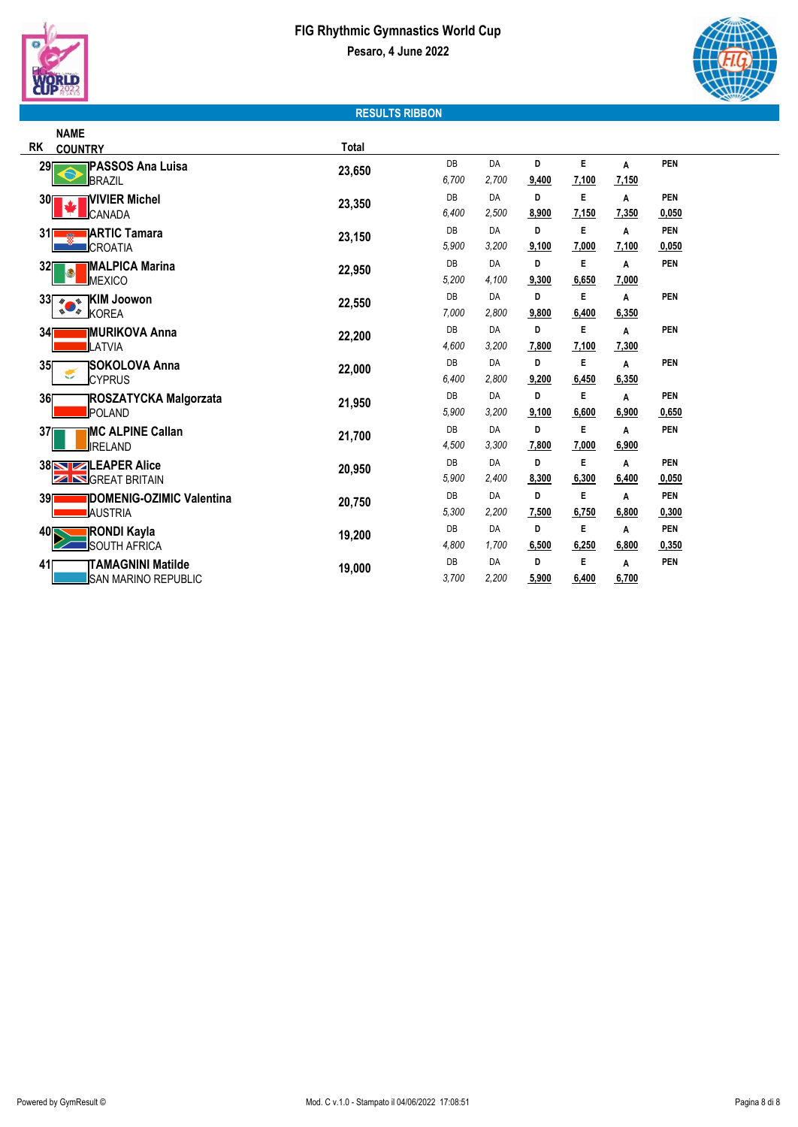



## **RESULTS RIBBON**

|           | <b>NAME</b>                          |        |       |       |       |       |       |            |
|-----------|--------------------------------------|--------|-------|-------|-------|-------|-------|------------|
| <b>RK</b> | <b>COUNTRY</b>                       | Total  |       |       |       |       |       |            |
| 29        | īPASSOS Ana Luisa                    | 23,650 | DB    | DA    | D     | E     | Α     | PEN        |
|           | BRAZIL                               |        | 6.700 | 2.700 | 9,400 | 7,100 | 7,150 |            |
| 30        | <b>IVIVIER Michel</b>                | 23,350 | DB    | DA    | D     | E     | Α     | <b>PEN</b> |
|           | <b>ICANADA</b>                       |        | 6,400 | 2,500 | 8,900 | 7,150 | 7,350 | 0,050      |
| 31        | <b>JARTIC Tamara</b>                 | 23,150 | DB    | DA    | D     | E     | A     | PEN        |
|           | <b>CROATIA</b>                       |        | 5.900 | 3,200 | 9,100 | 7,000 | 7,100 | 0,050      |
| 32        | <b>IMALPICA Marina</b>               | 22,950 | DB    | DA    | D     | E     | Α     | PEN        |
|           | g<br>MEXICO                          |        | 5,200 | 4,100 | 9,300 | 6,650 | 7,000 |            |
| 33        | <b>IKIM Joowon</b><br>$\theta$<br>N, | 22,550 | DB    | DA    | D     | E     | A     | PEN        |
|           | $\blacksquare$<br>KOREA<br>4         |        | 7.000 | 2.800 | 9,800 | 6,400 | 6,350 |            |
| 34        | <b>IMURIKOVA Anna</b>                | 22,200 | DB    | DA    | D     | E     | A     | PEN        |
|           | LATVIA                               |        | 4.600 | 3,200 | 7,800 | 7,100 | 7,300 |            |
| 35        | <b>SOKOLOVA Anna</b>                 | 22,000 | DB    | DA    | D     | E     | Α     | <b>PEN</b> |
|           | €<br><b>I</b> CYPRUS                 |        | 6.400 | 2,800 | 9,200 | 6,450 | 6,350 |            |
| 36        | <b>ROSZATYCKA Malgorzata</b>         | 21,950 | DB    | DA    | D     | E     | A     | <b>PEN</b> |
|           | <b>I</b> POLAND                      |        | 5,900 | 3.200 | 9,100 | 6,600 | 6,900 | 0,650      |
| 37        | <b>IMC ALPINE Callan</b>             | 21,700 | DB    | DA    | D     | E     | Α     | <b>PEN</b> |
|           | <b>IRELAND</b>                       |        | 4,500 | 3,300 | 7,800 | 7,000 | 6,900 |            |
|           | <b>38 STEAPER Alice</b>              | 20,950 | DB    | DA    | D     | E     | A     | <b>PEN</b> |
|           | Z<br><b>S</b> GREAT BRITAIN          |        | 5,900 | 2,400 | 8,300 | 6,300 | 6,400 | 0,050      |
| 39        | <b>IDOMENIG-OZIMIC Valentina</b>     | 20,750 | DB    | DA    | D     | E     | A     | <b>PEN</b> |
|           | <b>AUSTRIA</b>                       |        | 5,300 | 2,200 | 7,500 | 6,750 | 6,800 | 0,300      |
| 40        | <b>RONDI Kayla</b>                   | 19,200 | DB    | DA    | D     | E     | A     | <b>PEN</b> |
|           | <b>SOUTH AFRICA</b>                  |        | 4,800 | 1,700 | 6,500 | 6,250 | 6,800 | 0,350      |
| 41        | TAMAGNINI Matilde                    | 19,000 | DB    | DA    | D     | E     | Α     | PEN        |
|           | SAN MARINO REPUBLIC                  |        | 3,700 | 2,200 | 5,900 | 6,400 | 6,700 |            |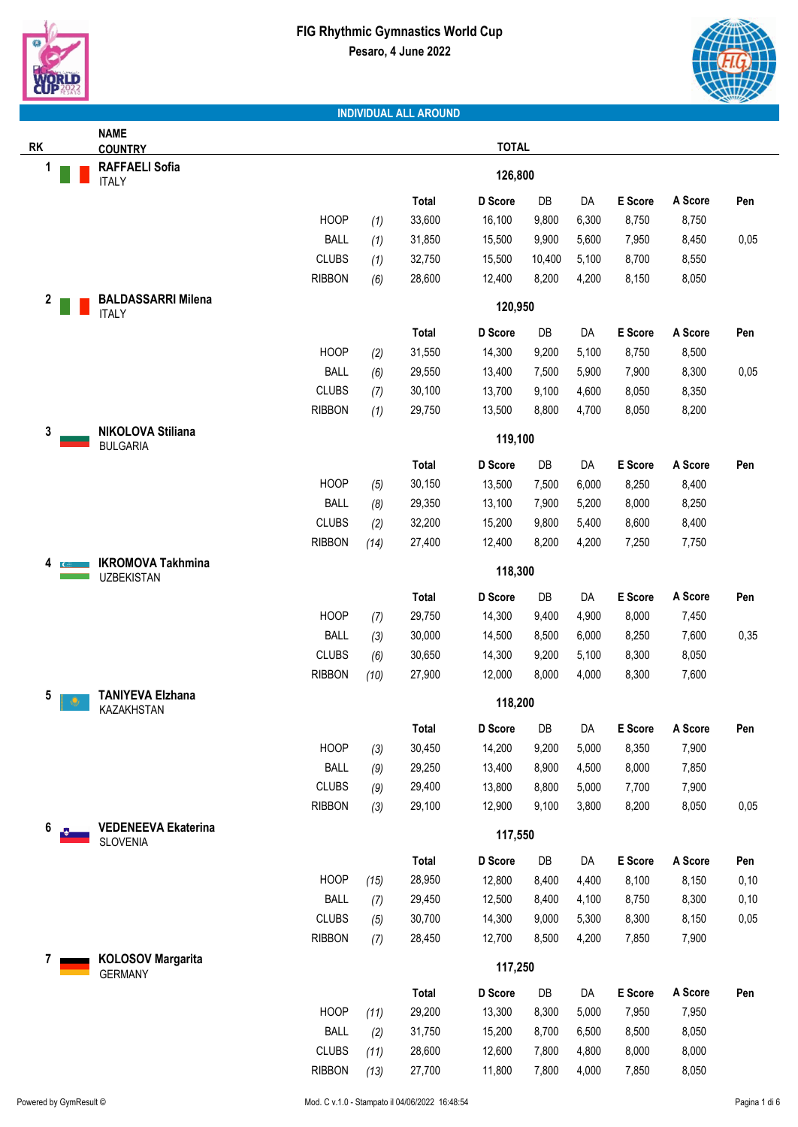



|           | <b>NAME</b>                                 |               |      |              |              |        |       |         |         |      |
|-----------|---------------------------------------------|---------------|------|--------------|--------------|--------|-------|---------|---------|------|
| <b>RK</b> | <b>COUNTRY</b>                              |               |      |              | <b>TOTAL</b> |        |       |         |         |      |
| 1         | <b>RAFFAELI Sofia</b><br><b>ITALY</b>       |               |      |              | 126,800      |        |       |         |         |      |
|           |                                             |               |      | Total        | D Score      | DB     | DA    | E Score | A Score | Pen  |
|           |                                             | <b>HOOP</b>   | (1)  | 33,600       | 16,100       | 9,800  | 6,300 | 8,750   | 8,750   |      |
|           |                                             | <b>BALL</b>   | (1)  | 31,850       | 15,500       | 9,900  | 5,600 | 7,950   | 8,450   | 0,05 |
|           |                                             | <b>CLUBS</b>  | (1)  | 32,750       | 15,500       | 10,400 | 5,100 | 8,700   | 8,550   |      |
|           |                                             | <b>RIBBON</b> | (6)  | 28,600       | 12,400       | 8,200  | 4,200 | 8,150   | 8,050   |      |
| 2         | <b>BALDASSARRI Milena</b>                   |               |      |              |              |        |       |         |         |      |
|           | <b>ITALY</b>                                |               |      |              | 120,950      |        |       |         |         |      |
|           |                                             |               |      | <b>Total</b> | D Score      | DB     | DA    | E Score | A Score | Pen  |
|           |                                             | <b>HOOP</b>   | (2)  | 31,550       | 14,300       | 9,200  | 5,100 | 8,750   | 8,500   |      |
|           |                                             | <b>BALL</b>   | (6)  | 29,550       | 13,400       | 7,500  | 5,900 | 7,900   | 8,300   | 0,05 |
|           |                                             | <b>CLUBS</b>  | (7)  | 30,100       | 13,700       | 9,100  | 4,600 | 8,050   | 8,350   |      |
|           |                                             | <b>RIBBON</b> | (1)  | 29,750       | 13,500       | 8,800  | 4,700 | 8,050   | 8,200   |      |
| 3         | <b>NIKOLOVA Stiliana</b><br><b>BULGARIA</b> |               |      |              | 119,100      |        |       |         |         |      |
|           |                                             |               |      | Total        | D Score      | DB     | DA    | E Score | A Score | Pen  |
|           |                                             | <b>HOOP</b>   | (5)  | 30,150       | 13,500       | 7,500  | 6,000 | 8,250   | 8,400   |      |
|           |                                             | <b>BALL</b>   | (8)  | 29,350       | 13,100       | 7,900  | 5,200 | 8,000   | 8,250   |      |
|           |                                             | <b>CLUBS</b>  | (2)  | 32,200       | 15,200       | 9,800  | 5,400 | 8,600   | 8,400   |      |
|           |                                             | <b>RIBBON</b> | (14) | 27,400       | 12,400       | 8,200  | 4,200 | 7,250   | 7,750   |      |
| 4         | <b>IKROMOVA Takhmina</b>                    |               |      |              |              |        |       |         |         |      |
|           | <b>UZBEKISTAN</b>                           |               |      |              | 118,300      |        |       |         |         |      |
|           |                                             |               |      | Total        | D Score      | DB     | DA    | E Score | A Score | Pen  |
|           |                                             | <b>HOOP</b>   | (7)  | 29,750       | 14,300       | 9,400  | 4,900 | 8,000   | 7,450   |      |
|           |                                             | <b>BALL</b>   | (3)  | 30,000       | 14,500       | 8,500  | 6,000 | 8,250   | 7,600   | 0,35 |
|           |                                             | <b>CLUBS</b>  | (6)  | 30,650       | 14,300       | 9,200  | 5,100 | 8,300   | 8,050   |      |
|           |                                             | <b>RIBBON</b> | (10) | 27,900       | 12,000       | 8,000  | 4,000 | 8,300   | 7,600   |      |
| 5         | <b>TANIYEVA Elzhana</b><br>KAZAKHSTAN       |               |      |              | 118,200      |        |       |         |         |      |
|           |                                             |               |      | Total        | D Score      | DB     | DA    | E Score | A Score | Pen  |
|           |                                             | <b>HOOP</b>   | (3)  | 30,450       | 14,200       | 9,200  | 5,000 | 8,350   | 7,900   |      |
|           |                                             | <b>BALL</b>   | (9)  | 29,250       | 13,400       | 8,900  | 4,500 | 8,000   | 7,850   |      |
|           |                                             | <b>CLUBS</b>  | (9)  | 29,400       | 13,800       | 8,800  | 5,000 | 7,700   | 7,900   |      |
|           |                                             | <b>RIBBON</b> | (3)  | 29,100       | 12,900       | 9,100  | 3,800 | 8,200   | 8,050   | 0,05 |
| 6         | <b>VEDENEEVA Ekaterina</b>                  |               |      |              | 117,550      |        |       |         |         |      |
|           | <b>SLOVENIA</b>                             |               |      |              |              |        |       |         |         |      |
|           |                                             |               |      | Total        | D Score      | DB     | DA    | E Score | A Score | Pen  |
|           |                                             | <b>HOOP</b>   | (15) | 28,950       | 12,800       | 8,400  | 4,400 | 8,100   | 8,150   | 0,10 |
|           |                                             | <b>BALL</b>   | (7)  | 29,450       | 12,500       | 8,400  | 4,100 | 8,750   | 8,300   | 0,10 |
|           |                                             | <b>CLUBS</b>  | (5)  | 30,700       | 14,300       | 9,000  | 5,300 | 8,300   | 8,150   | 0,05 |
|           |                                             | <b>RIBBON</b> | (7)  | 28,450       | 12,700       | 8,500  | 4,200 | 7,850   | 7,900   |      |
| 7         | <b>KOLOSOV Margarita</b><br><b>GERMANY</b>  |               |      |              | 117,250      |        |       |         |         |      |
|           |                                             |               |      | Total        | D Score      | DB     | DA    | E Score | A Score | Pen  |
|           |                                             | <b>HOOP</b>   | (11) | 29,200       | 13,300       | 8,300  | 5,000 | 7,950   | 7,950   |      |
|           |                                             | <b>BALL</b>   | (2)  | 31,750       | 15,200       | 8,700  | 6,500 | 8,500   | 8,050   |      |
|           |                                             | <b>CLUBS</b>  | (11) | 28,600       | 12,600       | 7,800  | 4,800 | 8,000   | 8,000   |      |
|           |                                             | <b>RIBBON</b> | (13) | 27,700       | 11,800       | 7,800  | 4,000 | 7,850   | 8,050   |      |
|           |                                             |               |      |              |              |        |       |         |         |      |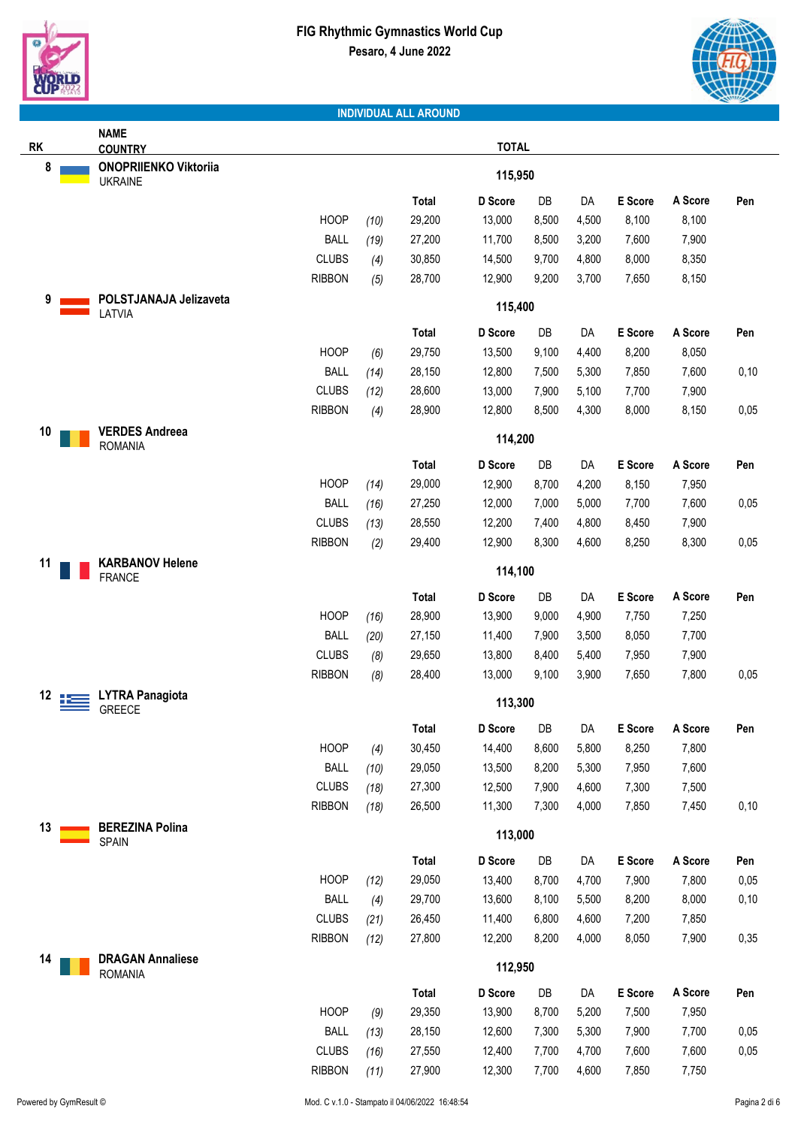



|    | <b>NAME</b>                                    |               |      |              |              |       |       |         |         |      |
|----|------------------------------------------------|---------------|------|--------------|--------------|-------|-------|---------|---------|------|
| RK | <b>COUNTRY</b>                                 |               |      |              | <b>TOTAL</b> |       |       |         |         |      |
| 8  | <b>ONOPRIIENKO Viktoriia</b><br><b>UKRAINE</b> |               |      |              | 115,950      |       |       |         |         |      |
|    |                                                |               |      | <b>Total</b> | D Score      | DB    | DA    | E Score | A Score | Pen  |
|    |                                                | <b>HOOP</b>   | (10) | 29,200       | 13,000       | 8,500 | 4,500 | 8,100   | 8,100   |      |
|    |                                                | <b>BALL</b>   | (19) | 27,200       | 11,700       | 8,500 | 3,200 | 7,600   | 7,900   |      |
|    |                                                | <b>CLUBS</b>  | (4)  | 30,850       | 14,500       | 9,700 | 4,800 | 8,000   | 8,350   |      |
|    |                                                | <b>RIBBON</b> | (5)  | 28,700       | 12,900       | 9,200 | 3,700 | 7,650   | 8,150   |      |
| 9  | POLSTJANAJA Jelizaveta                         |               |      |              |              |       |       |         |         |      |
|    | LATVIA                                         |               |      |              | 115,400      |       |       |         |         |      |
|    |                                                |               |      | <b>Total</b> | D Score      | DB    | DA    | E Score | A Score | Pen  |
|    |                                                | <b>HOOP</b>   | (6)  | 29,750       | 13,500       | 9,100 | 4,400 | 8,200   | 8,050   |      |
|    |                                                | <b>BALL</b>   | (14) | 28,150       | 12,800       | 7,500 | 5,300 | 7,850   | 7,600   | 0,10 |
|    |                                                | <b>CLUBS</b>  | (12) | 28,600       | 13,000       | 7,900 | 5,100 | 7,700   | 7,900   |      |
|    |                                                | <b>RIBBON</b> | (4)  | 28,900       | 12,800       | 8,500 | 4,300 | 8,000   | 8,150   | 0,05 |
| 10 | <b>VERDES Andreea</b><br><b>ROMANIA</b>        |               |      |              | 114,200      |       |       |         |         |      |
|    |                                                |               |      | <b>Total</b> | D Score      | DB    | DA    | E Score | A Score | Pen  |
|    |                                                | <b>HOOP</b>   | (14) | 29,000       | 12,900       | 8,700 | 4,200 | 8,150   | 7,950   |      |
|    |                                                | <b>BALL</b>   | (16) | 27,250       | 12,000       | 7,000 | 5,000 | 7,700   | 7,600   | 0,05 |
|    |                                                | <b>CLUBS</b>  | (13) | 28,550       | 12,200       | 7,400 | 4,800 | 8,450   | 7,900   |      |
|    |                                                | <b>RIBBON</b> | (2)  | 29,400       | 12,900       | 8,300 | 4,600 | 8,250   | 8,300   | 0,05 |
| 11 | <b>KARBANOV Helene</b>                         |               |      |              |              |       |       |         |         |      |
|    | <b>FRANCE</b>                                  |               |      |              | 114,100      |       |       |         |         |      |
|    |                                                |               |      | <b>Total</b> | D Score      | DB    | DA    | E Score | A Score | Pen  |
|    |                                                | <b>HOOP</b>   | (16) | 28,900       | 13,900       | 9,000 | 4,900 | 7,750   | 7,250   |      |
|    |                                                | <b>BALL</b>   | (20) | 27,150       | 11,400       | 7,900 | 3,500 | 8,050   | 7,700   |      |
|    |                                                | <b>CLUBS</b>  | (8)  | 29,650       | 13,800       | 8,400 | 5,400 | 7,950   | 7,900   |      |
|    |                                                | <b>RIBBON</b> | (8)  | 28,400       | 13,000       | 9,100 | 3,900 | 7,650   | 7,800   | 0,05 |
| 12 | <b>LYTRA Panagiota</b><br><b>GREECE</b>        |               |      |              | 113,300      |       |       |         |         |      |
|    |                                                |               |      | Total        | D Score      | DB    | DA    | E Score | A Score | Pen  |
|    |                                                | <b>HOOP</b>   | (4)  | 30,450       | 14,400       | 8,600 | 5,800 | 8,250   | 7,800   |      |
|    |                                                | <b>BALL</b>   | (10) | 29,050       | 13,500       | 8,200 | 5,300 | 7,950   | 7,600   |      |
|    |                                                | <b>CLUBS</b>  | (18) | 27,300       | 12,500       | 7,900 | 4,600 | 7,300   | 7,500   |      |
|    |                                                | <b>RIBBON</b> | (18) | 26,500       | 11,300       | 7,300 | 4,000 | 7,850   | 7,450   | 0,10 |
| 13 | <b>BEREZINA Polina</b>                         |               |      |              | 113,000      |       |       |         |         |      |
|    | SPAIN                                          |               |      | <b>Total</b> | D Score      | DB    | DA    | E Score | A Score | Pen  |
|    |                                                | <b>HOOP</b>   | (12) | 29,050       | 13,400       | 8,700 | 4,700 | 7,900   | 7,800   | 0,05 |
|    |                                                | <b>BALL</b>   | (4)  | 29,700       | 13,600       | 8,100 | 5,500 | 8,200   | 8,000   | 0,10 |
|    |                                                | <b>CLUBS</b>  | (21) | 26,450       | 11,400       | 6,800 | 4,600 | 7,200   | 7,850   |      |
|    |                                                | <b>RIBBON</b> | (12) | 27,800       | 12,200       | 8,200 | 4,000 | 8,050   | 7,900   | 0,35 |
| 14 | <b>DRAGAN Annaliese</b>                        |               |      |              | 112,950      |       |       |         |         |      |
|    | <b>ROMANIA</b>                                 |               |      |              |              |       |       |         |         |      |
|    |                                                |               |      | <b>Total</b> | D Score      | DB    | DA    | E Score | A Score | Pen  |
|    |                                                | <b>HOOP</b>   | (9)  | 29,350       | 13,900       | 8,700 | 5,200 | 7,500   | 7,950   |      |
|    |                                                | <b>BALL</b>   | (13) | 28,150       | 12,600       | 7,300 | 5,300 | 7,900   | 7,700   | 0,05 |
|    |                                                | <b>CLUBS</b>  | (16) | 27,550       | 12,400       | 7,700 | 4,700 | 7,600   | 7,600   | 0,05 |
|    |                                                | <b>RIBBON</b> | (11) | 27,900       | 12,300       | 7,700 | 4,600 | 7,850   | 7,750   |      |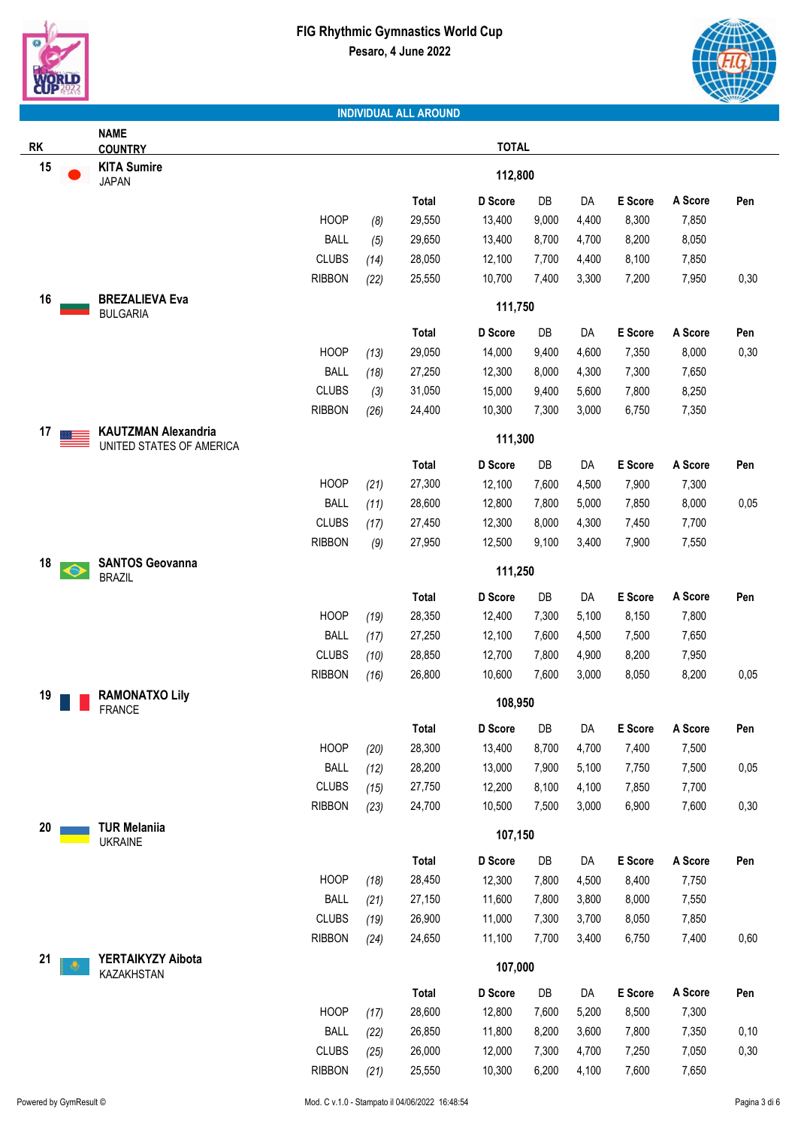



|           | <b>NAME</b>                              |               |      |              |              |       |       |         |         |      |
|-----------|------------------------------------------|---------------|------|--------------|--------------|-------|-------|---------|---------|------|
| <b>RK</b> | <b>COUNTRY</b>                           |               |      |              | <b>TOTAL</b> |       |       |         |         |      |
| 15        | <b>KITA Sumire</b><br><b>JAPAN</b>       |               |      |              | 112,800      |       |       |         |         |      |
|           |                                          |               |      | <b>Total</b> | D Score      | DB    | DA    | E Score | A Score | Pen  |
|           |                                          | <b>HOOP</b>   | (8)  | 29,550       | 13,400       | 9,000 | 4,400 | 8,300   | 7,850   |      |
|           |                                          | <b>BALL</b>   | (5)  | 29,650       | 13,400       | 8,700 | 4,700 | 8,200   | 8,050   |      |
|           |                                          | <b>CLUBS</b>  | (14) | 28,050       | 12,100       | 7,700 | 4,400 | 8,100   | 7,850   |      |
|           |                                          | <b>RIBBON</b> | (22) | 25,550       | 10,700       | 7,400 | 3,300 | 7,200   | 7,950   | 0,30 |
| 16        | <b>BREZALIEVA Eva</b><br><b>BULGARIA</b> |               |      |              | 111,750      |       |       |         |         |      |
|           |                                          |               |      | Total        | D Score      | DB    | DA    | E Score | A Score | Pen  |
|           |                                          | <b>HOOP</b>   | (13) | 29,050       | 14,000       | 9,400 | 4,600 | 7,350   | 8,000   | 0,30 |
|           |                                          | <b>BALL</b>   | (18) | 27,250       | 12,300       | 8,000 | 4,300 | 7,300   | 7,650   |      |
|           |                                          | <b>CLUBS</b>  | (3)  | 31,050       | 15,000       | 9,400 | 5,600 | 7,800   | 8,250   |      |
|           |                                          | <b>RIBBON</b> | (26) | 24,400       | 10,300       | 7,300 | 3,000 | 6,750   | 7,350   |      |
| 17        | <b>KAUTZMAN Alexandria</b>               |               |      |              | 111,300      |       |       |         |         |      |
|           | UNITED STATES OF AMERICA                 |               |      |              |              |       |       |         |         |      |
|           |                                          |               |      | Total        | D Score      | DB    | DA    | E Score | A Score | Pen  |
|           |                                          | <b>HOOP</b>   | (21) | 27,300       | 12,100       | 7,600 | 4,500 | 7,900   | 7,300   |      |
|           |                                          | <b>BALL</b>   | (11) | 28,600       | 12,800       | 7,800 | 5,000 | 7,850   | 8,000   | 0,05 |
|           |                                          | <b>CLUBS</b>  | (17) | 27,450       | 12,300       | 8,000 | 4,300 | 7,450   | 7,700   |      |
|           |                                          | <b>RIBBON</b> | (9)  | 27,950       | 12,500       | 9,100 | 3,400 | 7,900   | 7,550   |      |
| 18        | <b>SANTOS Geovanna</b><br><b>BRAZIL</b>  |               |      |              | 111,250      |       |       |         |         |      |
|           |                                          |               |      | Total        | D Score      | DB    | DA    | E Score | A Score | Pen  |
|           |                                          | <b>HOOP</b>   | (19) | 28,350       | 12,400       | 7,300 | 5,100 | 8,150   | 7,800   |      |
|           |                                          | <b>BALL</b>   | (17) | 27,250       | 12,100       | 7,600 | 4,500 | 7,500   | 7,650   |      |
|           |                                          | <b>CLUBS</b>  | (10) | 28,850       | 12,700       | 7,800 | 4,900 | 8,200   | 7,950   |      |
|           |                                          | <b>RIBBON</b> | (16) | 26,800       | 10,600       | 7,600 | 3,000 | 8,050   | 8,200   | 0,05 |
| 19        | <b>RAMONATXO Lily</b><br><b>FRANCE</b>   |               |      |              | 108,950      |       |       |         |         |      |
|           |                                          |               |      | <b>Total</b> | D Score      | DB    | DA    | E Score | A Score | Pen  |
|           |                                          | <b>HOOP</b>   | (20) | 28,300       | 13,400       | 8,700 | 4,700 | 7,400   | 7,500   |      |
|           |                                          | <b>BALL</b>   | (12) | 28,200       | 13,000       | 7,900 | 5,100 | 7,750   | 7,500   | 0,05 |
|           |                                          | <b>CLUBS</b>  | (15) | 27,750       | 12,200       | 8,100 | 4,100 | 7,850   | 7,700   |      |
|           |                                          | <b>RIBBON</b> | (23) | 24,700       | 10,500       | 7,500 | 3,000 | 6,900   | 7,600   | 0,30 |
| 20        | <b>TUR Melaniia</b><br><b>UKRAINE</b>    |               |      |              | 107,150      |       |       |         |         |      |
|           |                                          |               |      | Total        | D Score      | DB    | DA    | E Score | A Score | Pen  |
|           |                                          | <b>HOOP</b>   | (18) | 28,450       | 12,300       | 7,800 | 4,500 | 8,400   | 7,750   |      |
|           |                                          | <b>BALL</b>   | (21) | 27,150       | 11,600       | 7,800 | 3,800 | 8,000   | 7,550   |      |
|           |                                          | <b>CLUBS</b>  | (19) | 26,900       | 11,000       | 7,300 | 3,700 | 8,050   | 7,850   |      |
|           |                                          | <b>RIBBON</b> | (24) | 24,650       | 11,100       | 7,700 | 3,400 | 6,750   | 7,400   | 0,60 |
| 21        | YERTAIKYZY Aibota                        |               |      |              | 107,000      |       |       |         |         |      |
|           | KAZAKHSTAN                               |               |      | Total        | D Score      | DB    | DA    | E Score | A Score | Pen  |
|           |                                          | <b>HOOP</b>   | (17) | 28,600       | 12,800       | 7,600 | 5,200 | 8,500   | 7,300   |      |
|           |                                          | <b>BALL</b>   | (22) | 26,850       | 11,800       | 8,200 | 3,600 | 7,800   | 7,350   | 0,10 |
|           |                                          | <b>CLUBS</b>  | (25) | 26,000       | 12,000       | 7,300 | 4,700 | 7,250   | 7,050   | 0,30 |
|           |                                          | <b>RIBBON</b> | (21) | 25,550       | 10,300       | 6,200 | 4,100 | 7,600   | 7,650   |      |
|           |                                          |               |      |              |              |       |       |         |         |      |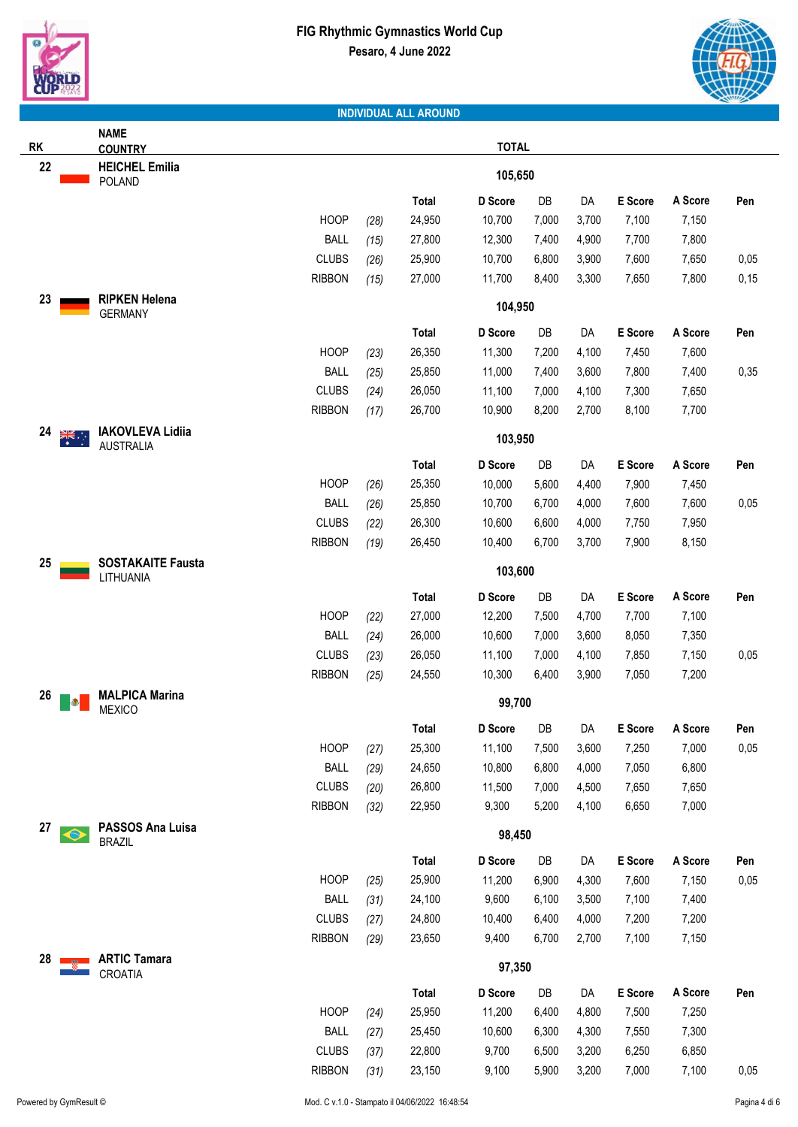



|            | <b>NAME</b>                                 |               |      |              |              |       |       |         |         |      |
|------------|---------------------------------------------|---------------|------|--------------|--------------|-------|-------|---------|---------|------|
| RK         | <b>COUNTRY</b>                              |               |      |              | <b>TOTAL</b> |       |       |         |         |      |
| 22         | <b>HEICHEL Emilia</b><br>POLAND             |               |      |              | 105,650      |       |       |         |         |      |
|            |                                             |               |      | <b>Total</b> | D Score      | DB    | DA    | E Score | A Score | Pen  |
|            |                                             | <b>HOOP</b>   | (28) | 24,950       | 10,700       | 7,000 | 3,700 | 7,100   | 7,150   |      |
|            |                                             | <b>BALL</b>   | (15) | 27,800       | 12,300       | 7,400 | 4,900 | 7,700   | 7,800   |      |
|            |                                             | <b>CLUBS</b>  | (26) | 25,900       | 10,700       | 6,800 | 3,900 | 7,600   | 7,650   | 0,05 |
|            |                                             | <b>RIBBON</b> | (15) | 27,000       | 11,700       | 8,400 | 3,300 | 7,650   | 7,800   | 0,15 |
| 23         | <b>RIPKEN Helena</b>                        |               |      |              |              |       |       |         |         |      |
|            | <b>GERMANY</b>                              |               |      |              | 104,950      |       |       |         |         |      |
|            |                                             |               |      | Total        | D Score      | DB    | DA    | E Score | A Score | Pen  |
|            |                                             | <b>HOOP</b>   | (23) | 26,350       | 11,300       | 7,200 | 4,100 | 7,450   | 7,600   |      |
|            |                                             | <b>BALL</b>   | (25) | 25,850       | 11,000       | 7,400 | 3,600 | 7,800   | 7,400   | 0,35 |
|            |                                             | <b>CLUBS</b>  | (24) | 26,050       | 11,100       | 7,000 | 4,100 | 7,300   | 7,650   |      |
|            |                                             | <b>RIBBON</b> | (17) | 26,700       | 10,900       | 8,200 | 2,700 | 8,100   | 7,700   |      |
| 24<br>्रें | <b>IAKOVLEVA Lidiia</b><br><b>AUSTRALIA</b> |               |      |              | 103,950      |       |       |         |         |      |
|            |                                             |               |      | <b>Total</b> | D Score      | DB    | DA    | E Score | A Score | Pen  |
|            |                                             | <b>HOOP</b>   | (26) | 25,350       | 10,000       | 5,600 | 4,400 | 7,900   | 7,450   |      |
|            |                                             | <b>BALL</b>   | (26) | 25,850       | 10,700       | 6,700 | 4,000 | 7,600   | 7,600   | 0,05 |
|            |                                             | <b>CLUBS</b>  | (22) | 26,300       | 10,600       | 6,600 | 4,000 | 7,750   | 7,950   |      |
|            |                                             | <b>RIBBON</b> | (19) | 26,450       | 10,400       | 6,700 | 3,700 | 7,900   | 8,150   |      |
| 25         | <b>SOSTAKAITE Fausta</b><br>LITHUANIA       |               |      |              | 103,600      |       |       |         |         |      |
|            |                                             |               |      | <b>Total</b> | D Score      | DB    | DA    | E Score | A Score | Pen  |
|            |                                             | <b>HOOP</b>   | (22) | 27,000       | 12,200       | 7,500 | 4,700 | 7,700   | 7,100   |      |
|            |                                             | <b>BALL</b>   | (24) | 26,000       | 10,600       | 7,000 | 3,600 | 8,050   | 7,350   |      |
|            |                                             | <b>CLUBS</b>  | (23) | 26,050       | 11,100       | 7,000 | 4,100 | 7,850   | 7,150   | 0,05 |
|            |                                             | <b>RIBBON</b> | (25) | 24,550       | 10,300       | 6,400 | 3,900 | 7,050   | 7,200   |      |
| 26<br>Ð    | <b>MALPICA Marina</b><br><b>MEXICO</b>      |               |      |              | 99,700       |       |       |         |         |      |
|            |                                             |               |      | Total        | D Score      | DB    | DA    | E Score | A Score | Pen  |
|            |                                             | <b>HOOP</b>   | (27) | 25,300       | 11,100       | 7,500 | 3,600 | 7,250   | 7,000   | 0,05 |
|            |                                             | <b>BALL</b>   | (29) | 24,650       | 10,800       | 6,800 | 4,000 | 7,050   | 6,800   |      |
|            |                                             | <b>CLUBS</b>  | (20) | 26,800       | 11,500       | 7,000 | 4,500 | 7,650   | 7,650   |      |
|            |                                             | <b>RIBBON</b> | (32) | 22,950       | 9,300        | 5,200 | 4,100 | 6,650   | 7,000   |      |
| 27         | PASSOS Ana Luisa                            |               |      |              |              |       |       |         |         |      |
| O          | <b>BRAZIL</b>                               |               |      |              | 98,450       |       |       |         |         |      |
|            |                                             |               |      | Total        | D Score      | DB    | DA    | E Score | A Score | Pen  |
|            |                                             | <b>HOOP</b>   | (25) | 25,900       | 11,200       | 6,900 | 4,300 | 7,600   | 7,150   | 0,05 |
|            |                                             | <b>BALL</b>   | (31) | 24,100       | 9,600        | 6,100 | 3,500 | 7,100   | 7,400   |      |
|            |                                             | <b>CLUBS</b>  | (27) | 24,800       | 10,400       | 6,400 | 4,000 | 7,200   | 7,200   |      |
|            |                                             | <b>RIBBON</b> | (29) | 23,650       | 9,400        | 6,700 | 2,700 | 7,100   | 7,150   |      |
| 28         | <b>ARTIC Tamara</b><br>CROATIA              |               |      |              | 97,350       |       |       |         |         |      |
|            |                                             |               |      | Total        | D Score      | DB    | DA    | E Score | A Score | Pen  |
|            |                                             | <b>HOOP</b>   | (24) | 25,950       | 11,200       | 6,400 | 4,800 | 7,500   | 7,250   |      |
|            |                                             | <b>BALL</b>   | (27) | 25,450       | 10,600       | 6,300 | 4,300 | 7,550   | 7,300   |      |
|            |                                             | <b>CLUBS</b>  | (37) | 22,800       | 9,700        | 6,500 | 3,200 | 6,250   | 6,850   |      |
|            |                                             | <b>RIBBON</b> | (31) | 23,150       | 9,100        | 5,900 | 3,200 | 7,000   | 7,100   | 0,05 |
|            |                                             |               |      |              |              |       |       |         |         |      |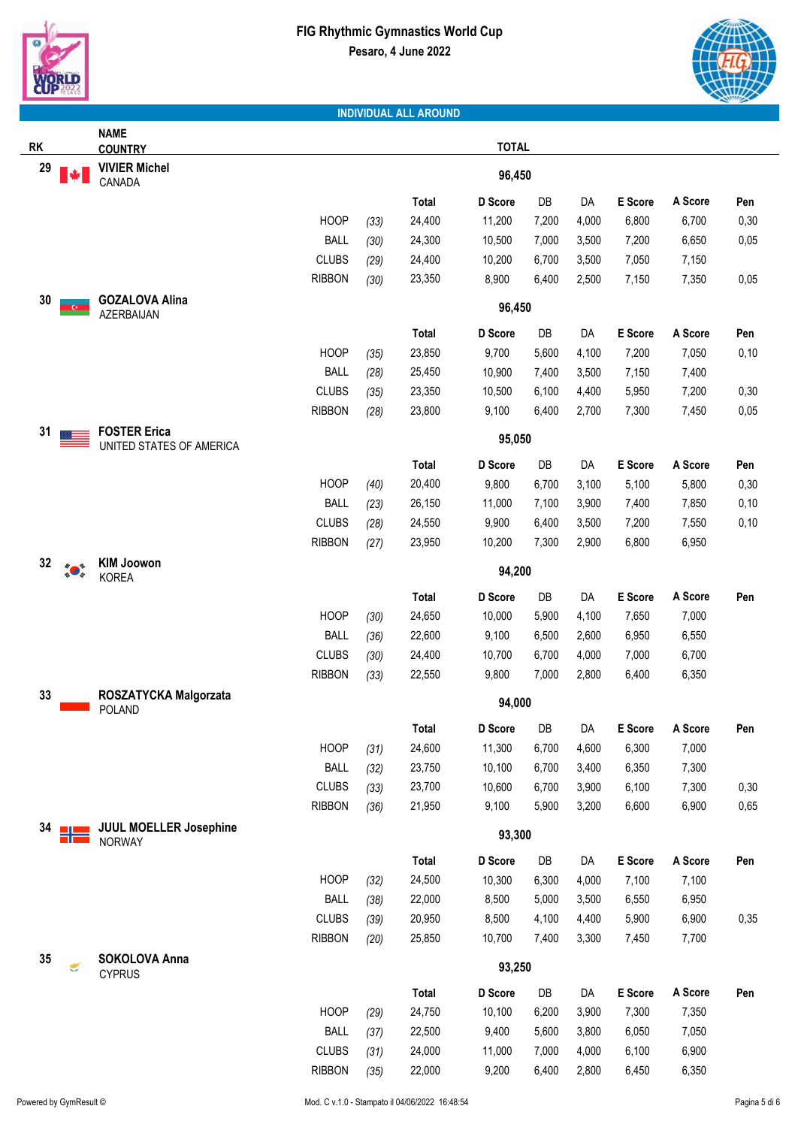

|                                                                                                                                                                                                                                                                                                                                                           | <b>NAME</b>                                     |               |      |              |              |       |       |         |         |      |
|-----------------------------------------------------------------------------------------------------------------------------------------------------------------------------------------------------------------------------------------------------------------------------------------------------------------------------------------------------------|-------------------------------------------------|---------------|------|--------------|--------------|-------|-------|---------|---------|------|
| <b>RK</b>                                                                                                                                                                                                                                                                                                                                                 | <b>COUNTRY</b>                                  |               |      |              | <b>TOTAL</b> |       |       |         |         |      |
| 29                                                                                                                                                                                                                                                                                                                                                        | <b>VIVIER Michel</b><br>CANADA                  |               |      |              | 96,450       |       |       |         |         |      |
|                                                                                                                                                                                                                                                                                                                                                           |                                                 |               |      | Total        | D Score      | DB    | DA    | E Score | A Score | Pen  |
|                                                                                                                                                                                                                                                                                                                                                           |                                                 | <b>HOOP</b>   | (33) | 24,400       | 11,200       | 7,200 | 4,000 | 6,800   | 6,700   | 0,30 |
|                                                                                                                                                                                                                                                                                                                                                           |                                                 | <b>BALL</b>   | (30) | 24,300       | 10,500       | 7,000 | 3,500 | 7,200   | 6,650   | 0,05 |
|                                                                                                                                                                                                                                                                                                                                                           |                                                 | <b>CLUBS</b>  | (29) | 24,400       | 10,200       | 6,700 | 3,500 | 7,050   | 7,150   |      |
|                                                                                                                                                                                                                                                                                                                                                           |                                                 | <b>RIBBON</b> | (30) | 23,350       | 8,900        | 6,400 | 2,500 | 7,150   | 7,350   | 0,05 |
| 30                                                                                                                                                                                                                                                                                                                                                        | <b>GOZALOVA Alina</b>                           |               |      |              | 96,450       |       |       |         |         |      |
|                                                                                                                                                                                                                                                                                                                                                           | AZERBAIJAN                                      |               |      | Total        | D Score      | DB    | DA    | E Score | A Score | Pen  |
|                                                                                                                                                                                                                                                                                                                                                           |                                                 | <b>HOOP</b>   |      | 23,850       | 9,700        | 5,600 |       | 7,200   |         |      |
|                                                                                                                                                                                                                                                                                                                                                           |                                                 |               | (35) |              |              |       | 4,100 |         | 7,050   | 0,10 |
|                                                                                                                                                                                                                                                                                                                                                           |                                                 | <b>BALL</b>   | (28) | 25,450       | 10,900       | 7,400 | 3,500 | 7,150   | 7,400   |      |
|                                                                                                                                                                                                                                                                                                                                                           |                                                 | <b>CLUBS</b>  | (35) | 23,350       | 10,500       | 6,100 | 4,400 | 5,950   | 7,200   | 0,30 |
|                                                                                                                                                                                                                                                                                                                                                           |                                                 | <b>RIBBON</b> | (28) | 23,800       | 9,100        | 6,400 | 2,700 | 7,300   | 7,450   | 0,05 |
| 31                                                                                                                                                                                                                                                                                                                                                        | <b>FOSTER Erica</b><br>UNITED STATES OF AMERICA |               |      |              | 95,050       |       |       |         |         |      |
|                                                                                                                                                                                                                                                                                                                                                           |                                                 |               |      | Total        | D Score      | DB    | DA    | E Score | A Score | Pen  |
|                                                                                                                                                                                                                                                                                                                                                           |                                                 | <b>HOOP</b>   | (40) | 20,400       | 9,800        | 6,700 | 3,100 | 5,100   | 5,800   | 0,30 |
|                                                                                                                                                                                                                                                                                                                                                           |                                                 | <b>BALL</b>   | (23) | 26,150       | 11,000       | 7,100 | 3,900 | 7,400   | 7,850   | 0,10 |
|                                                                                                                                                                                                                                                                                                                                                           |                                                 | <b>CLUBS</b>  | (28) | 24,550       | 9,900        | 6,400 | 3,500 | 7,200   | 7,550   | 0,10 |
|                                                                                                                                                                                                                                                                                                                                                           |                                                 | <b>RIBBON</b> | (27) | 23,950       | 10,200       | 7,300 | 2,900 | 6,800   | 6,950   |      |
| 32<br>$\begin{picture}(120,15) \put(0,0){\line(1,0){15}} \put(15,0){\line(1,0){15}} \put(15,0){\line(1,0){15}} \put(15,0){\line(1,0){15}} \put(15,0){\line(1,0){15}} \put(15,0){\line(1,0){15}} \put(15,0){\line(1,0){15}} \put(15,0){\line(1,0){15}} \put(15,0){\line(1,0){15}} \put(15,0){\line(1,0){15}} \put(15,0){\line(1,0){15}} \put(15,0){\line($ | <b>KIM Joowon</b><br><b>KOREA</b>               |               |      |              | 94,200       |       |       |         |         |      |
|                                                                                                                                                                                                                                                                                                                                                           |                                                 |               |      | Total        | D Score      | DB    | DA    | E Score | A Score | Pen  |
|                                                                                                                                                                                                                                                                                                                                                           |                                                 | <b>HOOP</b>   | (30) | 24,650       | 10,000       | 5,900 | 4,100 | 7,650   | 7,000   |      |
|                                                                                                                                                                                                                                                                                                                                                           |                                                 | <b>BALL</b>   | (36) | 22,600       | 9,100        | 6,500 | 2,600 | 6,950   | 6,550   |      |
|                                                                                                                                                                                                                                                                                                                                                           |                                                 | <b>CLUBS</b>  | (30) | 24,400       | 10,700       | 6,700 | 4,000 | 7,000   | 6,700   |      |
|                                                                                                                                                                                                                                                                                                                                                           |                                                 | <b>RIBBON</b> | (33) | 22,550       | 9,800        | 7,000 | 2,800 | 6,400   | 6,350   |      |
| 33                                                                                                                                                                                                                                                                                                                                                        | ROSZATYCKA Malgorzata<br><b>POLAND</b>          |               |      |              | 94,000       |       |       |         |         |      |
|                                                                                                                                                                                                                                                                                                                                                           |                                                 |               |      | <b>Total</b> | D Score      | DB    | DA    | E Score | A Score | ren  |
|                                                                                                                                                                                                                                                                                                                                                           |                                                 | <b>HOOP</b>   | (31) | 24,600       | 11,300       | 6,700 | 4,600 | 6,300   | 7,000   |      |
|                                                                                                                                                                                                                                                                                                                                                           |                                                 | <b>BALL</b>   | (32) | 23,750       | 10,100       | 6,700 | 3,400 | 6,350   | 7,300   |      |
|                                                                                                                                                                                                                                                                                                                                                           |                                                 | <b>CLUBS</b>  | (33) | 23,700       | 10,600       | 6,700 | 3,900 | 6,100   | 7,300   | 0,30 |
|                                                                                                                                                                                                                                                                                                                                                           |                                                 | <b>RIBBON</b> | (36) | 21,950       | 9,100        | 5,900 | 3,200 | 6,600   | 6,900   | 0,65 |
| 34                                                                                                                                                                                                                                                                                                                                                        | <b>JUUL MOELLER Josephine</b><br><b>NORWAY</b>  |               |      |              | 93,300       |       |       |         |         |      |
|                                                                                                                                                                                                                                                                                                                                                           |                                                 |               |      | Total        | D Score      | DB    | DA    | E Score | A Score | Pen  |
|                                                                                                                                                                                                                                                                                                                                                           |                                                 | <b>HOOP</b>   | (32) | 24,500       | 10,300       | 6,300 | 4,000 | 7,100   | 7,100   |      |
|                                                                                                                                                                                                                                                                                                                                                           |                                                 | <b>BALL</b>   | (38) | 22,000       | 8,500        | 5,000 | 3,500 | 6,550   | 6,950   |      |
|                                                                                                                                                                                                                                                                                                                                                           |                                                 | <b>CLUBS</b>  | (39) | 20,950       | 8,500        | 4,100 | 4,400 | 5,900   | 6,900   | 0,35 |
|                                                                                                                                                                                                                                                                                                                                                           |                                                 | <b>RIBBON</b> | (20) | 25,850       | 10,700       | 7,400 | 3,300 | 7,450   | 7,700   |      |
| 35                                                                                                                                                                                                                                                                                                                                                        | SOKOLOVA Anna                                   |               |      |              |              |       |       |         |         |      |
| €                                                                                                                                                                                                                                                                                                                                                         | <b>CYPRUS</b>                                   |               |      |              | 93,250       |       |       |         |         |      |
|                                                                                                                                                                                                                                                                                                                                                           |                                                 |               |      | <b>Total</b> | D Score      | DB    | DA    | E Score | A Score | Pen  |
|                                                                                                                                                                                                                                                                                                                                                           |                                                 | <b>HOOP</b>   | (29) | 24,750       | 10,100       | 6,200 | 3,900 | 7,300   | 7,350   |      |
|                                                                                                                                                                                                                                                                                                                                                           |                                                 | <b>BALL</b>   | (37) | 22,500       | 9,400        | 5,600 | 3,800 | 6,050   | 7,050   |      |
|                                                                                                                                                                                                                                                                                                                                                           |                                                 | <b>CLUBS</b>  | (31) | 24,000       | 11,000       | 7,000 | 4,000 | 6,100   | 6,900   |      |
|                                                                                                                                                                                                                                                                                                                                                           |                                                 | <b>RIBBON</b> | (35) | 22,000       | 9,200        | 6,400 | 2,800 | 6,450   | 6,350   |      |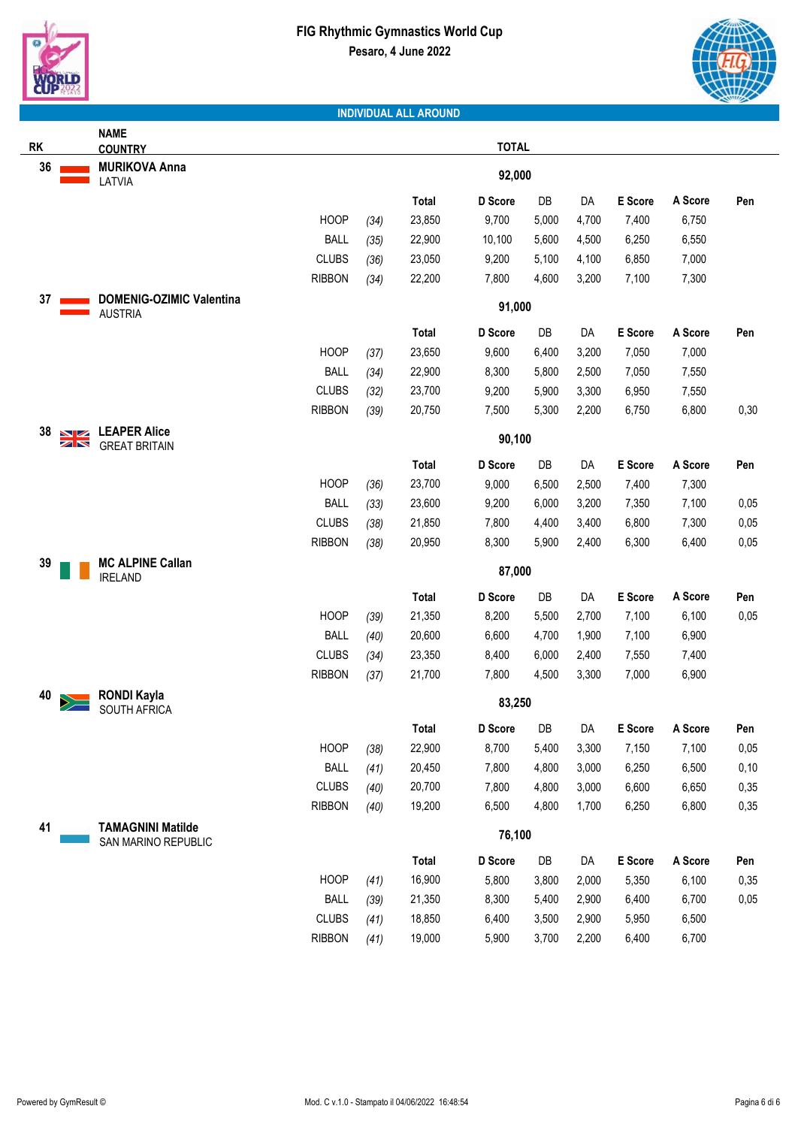



|                          | <b>NAME</b>                                       |               |      |              |              |       |       |         |         |      |
|--------------------------|---------------------------------------------------|---------------|------|--------------|--------------|-------|-------|---------|---------|------|
| <b>RK</b>                | <b>COUNTRY</b>                                    |               |      |              | <b>TOTAL</b> |       |       |         |         |      |
| 36                       | <b>MURIKOVA Anna</b><br>LATVIA                    |               |      |              | 92,000       |       |       |         |         |      |
|                          |                                                   |               |      | Total        | D Score      | DB    | DA    | E Score | A Score | Pen  |
|                          |                                                   | <b>HOOP</b>   | (34) | 23,850       | 9,700        | 5,000 | 4,700 | 7,400   | 6,750   |      |
|                          |                                                   | <b>BALL</b>   | (35) | 22,900       | 10,100       | 5,600 | 4,500 | 6,250   | 6,550   |      |
|                          |                                                   | <b>CLUBS</b>  | (36) | 23,050       | 9,200        | 5,100 | 4,100 | 6,850   | 7,000   |      |
|                          |                                                   | <b>RIBBON</b> | (34) | 22,200       | 7,800        | 4,600 | 3,200 | 7,100   | 7,300   |      |
| 37                       | <b>DOMENIG-OZIMIC Valentina</b><br><b>AUSTRIA</b> |               |      |              | 91,000       |       |       |         |         |      |
|                          |                                                   |               |      | <b>Total</b> | D Score      | DB    | DA    | E Score | A Score | Pen  |
|                          |                                                   | <b>HOOP</b>   | (37) | 23,650       | 9,600        | 6,400 | 3,200 | 7,050   | 7,000   |      |
|                          |                                                   | <b>BALL</b>   | (34) | 22,900       | 8,300        | 5,800 | 2,500 | 7,050   | 7,550   |      |
|                          |                                                   | <b>CLUBS</b>  | (32) | 23,700       | 9,200        | 5,900 | 3,300 | 6,950   | 7,550   |      |
|                          |                                                   | <b>RIBBON</b> | (39) | 20,750       | 7,500        | 5,300 | 2,200 | 6,750   | 6,800   | 0,30 |
| 38<br>$\mathbf{N}$<br>ZN | <b>LEAPER Alice</b><br><b>GREAT BRITAIN</b>       |               |      |              | 90,100       |       |       |         |         |      |
|                          |                                                   |               |      | <b>Total</b> | D Score      | DB    | DA    | E Score | A Score | Pen  |
|                          |                                                   | <b>HOOP</b>   | (36) | 23,700       | 9,000        | 6,500 | 2,500 | 7,400   | 7,300   |      |
|                          |                                                   | <b>BALL</b>   | (33) | 23,600       | 9,200        | 6,000 | 3,200 | 7,350   | 7,100   | 0,05 |
|                          |                                                   | <b>CLUBS</b>  | (38) | 21,850       | 7,800        | 4,400 | 3,400 | 6,800   | 7,300   | 0,05 |
|                          |                                                   | <b>RIBBON</b> | (38) | 20,950       | 8,300        | 5,900 | 2,400 | 6,300   | 6,400   | 0,05 |
| 39                       | <b>MC ALPINE Callan</b><br><b>IRELAND</b>         |               |      |              | 87,000       |       |       |         |         |      |
|                          |                                                   |               |      | <b>Total</b> | D Score      | DB    | DA    | E Score | A Score | Pen  |
|                          |                                                   | <b>HOOP</b>   | (39) | 21,350       | 8,200        | 5,500 | 2,700 | 7,100   | 6,100   | 0,05 |
|                          |                                                   | <b>BALL</b>   | (40) | 20,600       | 6,600        | 4,700 | 1,900 | 7,100   | 6,900   |      |
|                          |                                                   | <b>CLUBS</b>  | (34) | 23,350       | 8,400        | 6,000 | 2,400 | 7,550   | 7,400   |      |
|                          |                                                   | <b>RIBBON</b> | (37) | 21,700       | 7,800        | 4,500 | 3,300 | 7,000   | 6,900   |      |
| 40                       | <b>RONDI Kayla</b><br><b>SOUTH AFRICA</b>         |               |      |              | 83,250       |       |       |         |         |      |
|                          |                                                   |               |      | Total        | D Score      | DB    | DA    | E Score | A Score | Pen  |
|                          |                                                   | <b>HOOP</b>   | (38) | 22,900       | 8,700        | 5,400 | 3,300 | 7,150   | 7,100   | 0,05 |
|                          |                                                   | <b>BALL</b>   | (41) | 20,450       | 7,800        | 4,800 | 3,000 | 6,250   | 6,500   | 0,10 |
|                          |                                                   | <b>CLUBS</b>  | (40) | 20,700       | 7,800        | 4,800 | 3,000 | 6,600   | 6,650   | 0,35 |
|                          |                                                   | <b>RIBBON</b> | (40) | 19,200       | 6,500        | 4,800 | 1,700 | 6,250   | 6,800   | 0,35 |
| 41                       | <b>TAMAGNINI Matilde</b><br>SAN MARINO REPUBLIC   |               |      |              | 76,100       |       |       |         |         |      |
|                          |                                                   |               |      | Total        | D Score      | DB    | DA    | E Score | A Score | Pen  |
|                          |                                                   | <b>HOOP</b>   | (41) | 16,900       | 5,800        | 3,800 | 2,000 | 5,350   | 6,100   | 0,35 |
|                          |                                                   | <b>BALL</b>   | (39) | 21,350       | 8,300        | 5,400 | 2,900 | 6,400   | 6,700   | 0,05 |
|                          |                                                   | <b>CLUBS</b>  | (41) | 18,850       | 6,400        | 3,500 | 2,900 | 5,950   | 6,500   |      |
|                          |                                                   | <b>RIBBON</b> | (41) | 19,000       | 5,900        | 3,700 | 2,200 | 6,400   | 6,700   |      |
|                          |                                                   |               |      |              |              |       |       |         |         |      |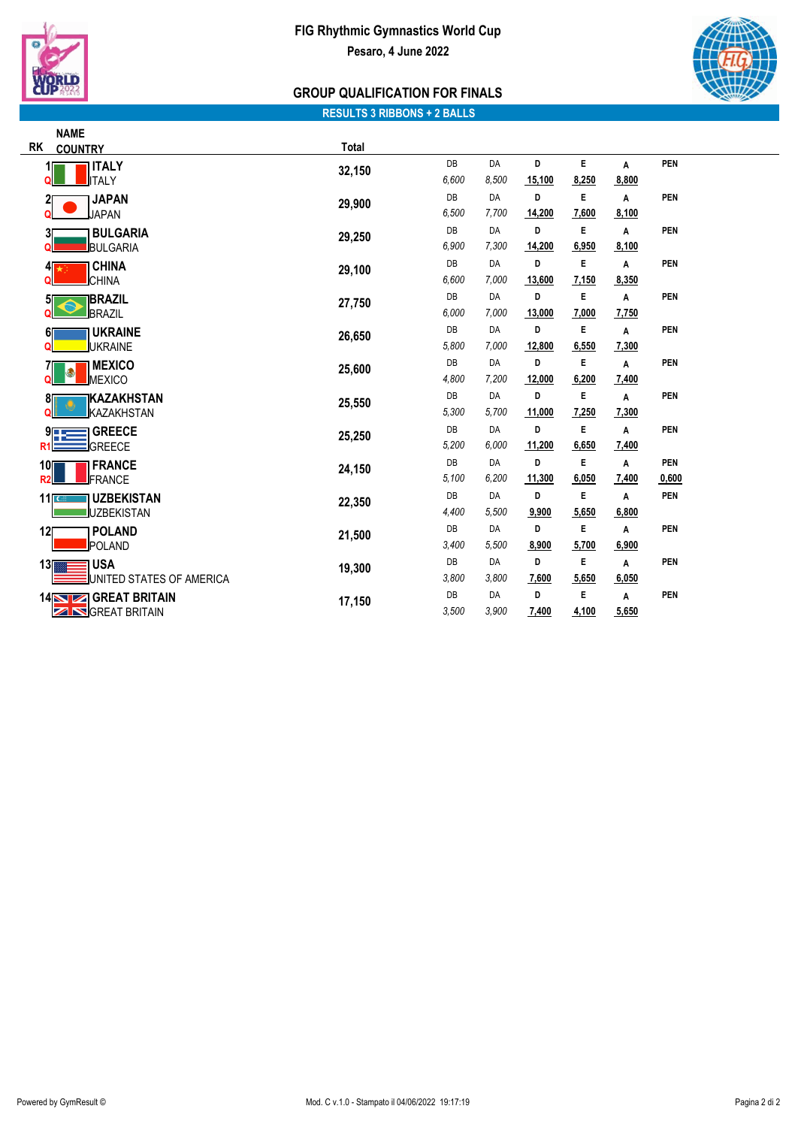



# **GROUP QUALIFICATION FOR FINALS**

### **RESULTS 3 RIBBONS + 2 BALLS**

|                | <b>NAME</b>                           |        |       |       |        |       |       |            |
|----------------|---------------------------------------|--------|-------|-------|--------|-------|-------|------------|
| <b>RK</b>      | <b>COUNTRY</b>                        | Total  |       |       |        |       |       |            |
|                | <b>ITALY</b>                          | 32,150 | DB    | DA    | D      | E     | A     | <b>PEN</b> |
|                | <b>ITALY</b>                          |        | 6,600 | 8.500 | 15,100 | 8,250 | 8,800 |            |
|                | <b>JAPAN</b>                          | 29,900 | DB    | DA    | D      | E     | A     | <b>PEN</b> |
|                | <b>JAPAN</b>                          |        | 6,500 | 7,700 | 14,200 | 7,600 | 8,100 |            |
| 31             | <b>BULGARIA</b>                       | 29,250 | DB    | DA    | D      | E     | A     | PEN        |
|                | BULGARIA                              |        | 6,900 | 7,300 | 14,200 | 6,950 | 8,100 |            |
|                | <b>CHINA</b><br>41                    | 29,100 | DB    | DA    | D      | E     | A     | <b>PEN</b> |
|                | <b>CHINA</b>                          |        | 6,600 | 7,000 | 13,600 | 7,150 | 8,350 |            |
|                | <b>IBRAZIL</b><br>51                  | 27,750 | DB    | DA    | D      | E     | A     | PEN        |
|                | BRAZIL                                |        | 6,000 | 7,000 | 13,000 | 7,000 | 7,750 |            |
| 61             | <b>UKRAINE</b>                        | 26,650 | DB    | DA    | D      | E     | A     | <b>PEN</b> |
|                | <b>UKRAINE</b>                        |        | 5,800 | 7,000 | 12,800 | 6,550 | 7,300 |            |
|                | <b>MEXICO</b>                         | 25,600 | DB    | DA    | D      | E     | A     | PEN        |
|                | 9<br>MEXICO                           |        | 4,800 | 7,200 | 12,000 | 6,200 | 7,400 |            |
| 81             | IKAZAKHSTAN                           | 25,550 | DB    | DA    | D      | E     | A     | PEN        |
|                | <b>KAZAKHSTAN</b>                     |        | 5,300 | 5,700 | 11,000 | 7,250 | 7,300 |            |
|                | <b>GREECE</b><br>9                    | 25,250 | DB    | DA    | D      | E     | A     | PEN        |
| R <sub>1</sub> | <b>GREECE</b>                         |        | 5,200 | 6,000 | 11,200 | 6,650 | 7,400 |            |
| 10             | <b>FRANCE</b>                         | 24,150 | DB    | DA    | D      | E     | A     | <b>PEN</b> |
| R <sub>2</sub> | FRANCE                                |        | 5,100 | 6,200 | 11,300 | 6,050 | 7,400 | 0,600      |
|                | 11 <sub>IC</sub><br><b>UZBEKISTAN</b> | 22,350 | DB    | DA    | D      | E     | A     | PEN        |
|                | <b>UZBEKISTAN</b>                     |        | 4,400 | 5,500 | 9,900  | 5,650 | 6,800 |            |
| 12             | <b>POLAND</b>                         | 21,500 | DB    | DA    | D      | E     | A     | PEN        |
|                | POLAND                                |        | 3,400 | 5,500 | 8,900  | 5,700 | 6,900 |            |
| 13             | <b>USA</b>                            | 19,300 | DB    | DA    | D      | E     | A     | PEN        |
|                | UNITED STATES OF AMERICA              |        | 3,800 | 3,800 | 7,600  | 5,650 | 6,050 |            |
|                | <b>GREAT BRITAIN</b><br><b>14NZ</b>   | 17,150 | DB    | DA    | D      | E     | Α     | PEN        |
|                | <b>S</b> GREAT BRITAIN<br>Z           |        | 3,500 | 3.900 | 7,400  | 4,100 | 5,650 |            |
|                |                                       |        |       |       |        |       |       |            |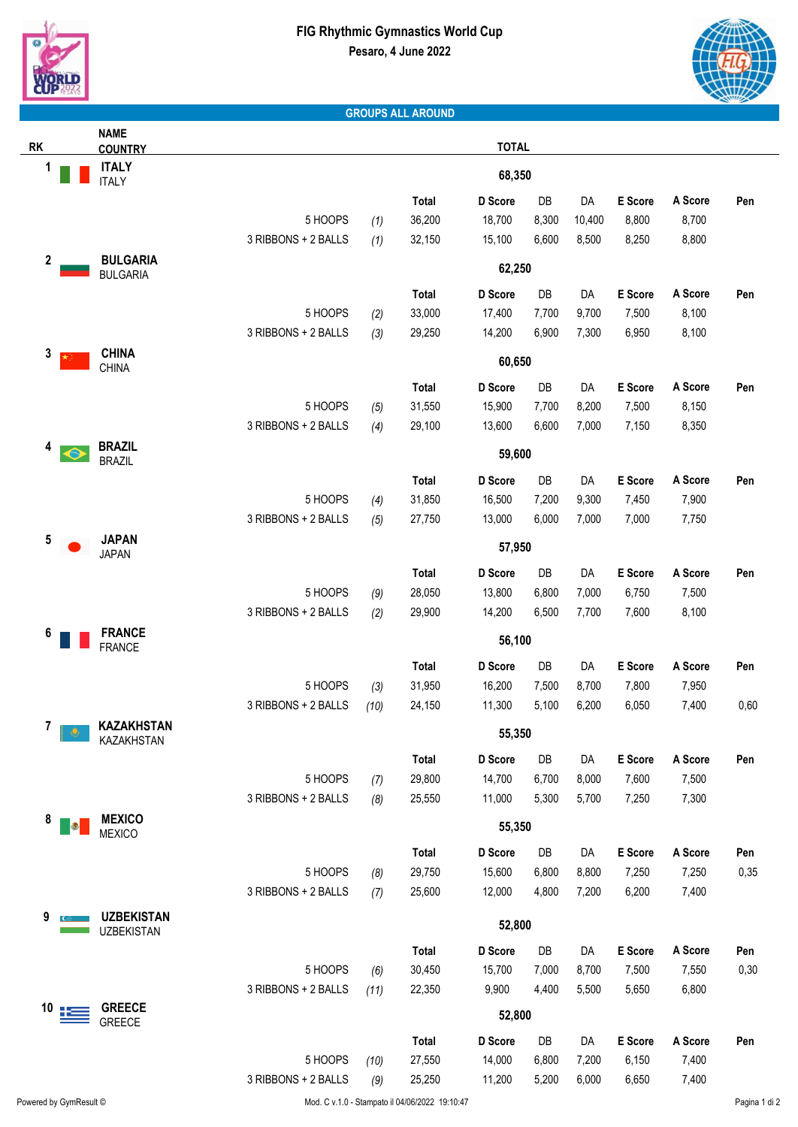



### **GROUPS ALL AROUND**

|                              | <b>NAME</b>                        |                     |      |              |              |       |        |         |         |      |
|------------------------------|------------------------------------|---------------------|------|--------------|--------------|-------|--------|---------|---------|------|
| <b>RK</b>                    | <b>COUNTRY</b>                     |                     |      |              | <b>TOTAL</b> |       |        |         |         |      |
| 1                            | <b>ITALY</b><br><b>ITALY</b>       |                     |      |              | 68,350       |       |        |         |         |      |
|                              |                                    |                     |      | <b>Total</b> | D Score      | DB    | DA     | E Score | A Score | Pen  |
|                              |                                    | 5 HOOPS             | (1)  | 36,200       | 18,700       | 8,300 | 10,400 | 8,800   | 8,700   |      |
|                              |                                    | 3 RIBBONS + 2 BALLS | (1)  | 32,150       | 15,100       | 6,600 | 8,500  | 8,250   | 8,800   |      |
| $\boldsymbol{2}$             | <b>BULGARIA</b><br><b>BULGARIA</b> |                     |      |              | 62,250       |       |        |         |         |      |
|                              |                                    |                     |      | Total        | D Score      | DB    | DA     | E Score | A Score | Pen  |
|                              |                                    | 5 HOOPS             | (2)  | 33,000       | 17,400       | 7,700 | 9,700  | 7,500   | 8,100   |      |
|                              |                                    | 3 RIBBONS + 2 BALLS | (3)  | 29,250       | 14,200       | 6,900 | 7,300  | 6,950   | 8,100   |      |
| 3                            | <b>CHINA</b>                       |                     |      |              |              |       |        |         |         |      |
|                              | CHINA                              |                     |      |              | 60,650       |       |        |         |         |      |
|                              |                                    |                     |      | <b>Total</b> | D Score      | DB    | DA     | E Score | A Score | Pen  |
|                              |                                    | 5 HOOPS             | (5)  | 31,550       | 15,900       | 7,700 | 8,200  | 7,500   | 8,150   |      |
|                              |                                    | 3 RIBBONS + 2 BALLS | (4)  | 29,100       | 13,600       | 6,600 | 7,000  | 7,150   | 8,350   |      |
| 4                            | <b>BRAZIL</b><br><b>BRAZIL</b>     |                     |      |              | 59,600       |       |        |         |         |      |
|                              |                                    |                     |      | <b>Total</b> | D Score      | DB    | DA     | E Score | A Score | Pen  |
|                              |                                    | 5 HOOPS             | (4)  | 31,850       | 16,500       | 7,200 | 9,300  | 7,450   | 7,900   |      |
|                              |                                    | 3 RIBBONS + 2 BALLS | (5)  | 27,750       | 13,000       | 6,000 | 7,000  | 7,000   | 7,750   |      |
| 5                            | <b>JAPAN</b><br><b>JAPAN</b>       |                     |      |              | 57,950       |       |        |         |         |      |
|                              |                                    |                     |      | Total        | D Score      | DB    | DA     | E Score | A Score | Pen  |
|                              |                                    | 5 HOOPS             | (9)  | 28,050       | 13,800       | 6,800 | 7,000  | 6,750   | 7,500   |      |
|                              |                                    | 3 RIBBONS + 2 BALLS | (2)  | 29,900       | 14,200       | 6,500 | 7,700  | 7,600   | 8,100   |      |
| 6                            | <b>FRANCE</b><br><b>FRANCE</b>     |                     |      |              | 56,100       |       |        |         |         |      |
|                              |                                    |                     |      | <b>Total</b> | D Score      | DB    | DA     | E Score | A Score | Pen  |
|                              |                                    | 5 HOOPS             | (3)  | 31,950       | 16,200       | 7,500 | 8,700  | 7,800   | 7,950   |      |
|                              |                                    | 3 RIBBONS + 2 BALLS | (10) | 24,150       | 11,300       | 5,100 | 6,200  | 6,050   | 7,400   | 0,60 |
| 7 <sub>II</sub><br>$\bullet$ | <b>KAZAKHSTAN</b><br>KAZAKHSTAN    |                     |      |              | 55,350       |       |        |         |         |      |
|                              |                                    |                     |      | <b>Total</b> | D Score      | DB    | DA     | E Score | A Score | Pen  |
|                              |                                    | 5 HOOPS             | (7)  | 29,800       | 14,700       | 6,700 | 8,000  | 7,600   | 7,500   |      |
|                              |                                    | 3 RIBBONS + 2 BALLS | (8)  | 25,550       | 11,000       | 5,300 | 5,700  | 7,250   | 7,300   |      |
| 8<br>$\bullet$               | <b>MEXICO</b><br><b>MEXICO</b>     |                     |      |              | 55,350       |       |        |         |         |      |
|                              |                                    |                     |      | Total        | D Score      | DB    | DA     | E Score | A Score | Pen  |
|                              |                                    | 5 HOOPS             | (8)  | 29,750       | 15,600       | 6,800 | 8,800  | 7,250   | 7,250   | 0,35 |
|                              |                                    | 3 RIBBONS + 2 BALLS | (7)  | 25,600       | 12,000       | 4,800 | 7,200  | 6,200   | 7,400   |      |
| 9                            | <b>UZBEKISTAN</b>                  |                     |      |              |              |       |        |         |         |      |
|                              | <b>UZBEKISTAN</b>                  |                     |      |              | 52,800       |       |        |         |         |      |
|                              |                                    |                     |      | <b>Total</b> | D Score      | DB    | DA     | E Score | A Score | Pen  |
|                              |                                    | 5 HOOPS             | (6)  | 30,450       | 15,700       | 7,000 | 8,700  | 7,500   | 7,550   | 0,30 |
|                              |                                    | 3 RIBBONS + 2 BALLS | (11) | 22,350       | 9,900        | 4,400 | 5,500  | 5,650   | 6,800   |      |
| 10                           | <b>GREECE</b><br><b>GREECE</b>     |                     |      |              | 52,800       |       |        |         |         |      |
|                              |                                    |                     |      | <b>Total</b> | D Score      | DB    | DA     | E Score | A Score | Pen  |
|                              |                                    | 5 HOOPS             | (10) | 27,550       | 14,000       | 6,800 | 7,200  | 6,150   | 7,400   |      |
|                              |                                    | 3 RIBBONS + 2 BALLS | (9)  | 25,250       | 11,200       | 5,200 | 6,000  | 6,650   | 7,400   |      |